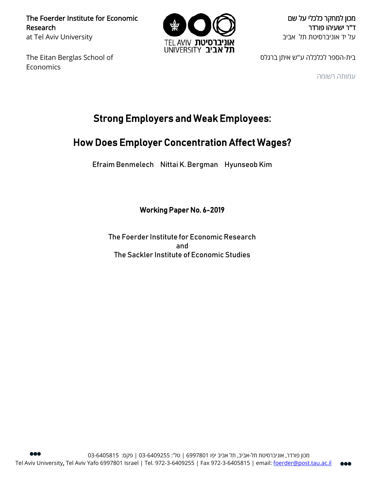The Foerder Institute for Economic Research at Tel Aviv University

The Eitan Berglas School of **Economics** 



מכון למחקר כלכלי על שם ד"ר ישעיהו פורדר על יד אוניברסיטת תל אביב

בית-הספר לכלכלה ע"ש איתן ברגלס

עמותה רשומה

# Strong Employers and Weak Employees:

# How Does Employer Concentration Affect Wages?

Efraim Benmelech Nittai K. Bergman Hyunseob Kim

Working Paper No. 6-2019

The Foerder Institute for Economic Research and The Sackler Institute of Economic Studies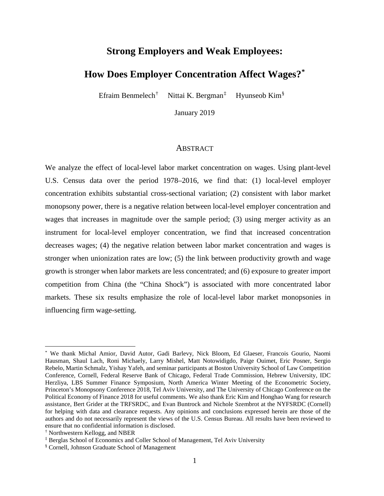## **Strong Employers and Weak Employees:**

## **How Does Employer Concentration Affect Wages?[\\*](#page-1-0)**

 Efraim Benmelech[†](#page-1-1) Nittai K. Bergman[‡](#page-1-2) Hyunseob Kim[§](#page-1-3)

January 2019

## **ABSTRACT**

We analyze the effect of local-level labor market concentration on wages. Using plant-level U.S. Census data over the period 1978–2016, we find that: (1) local-level employer concentration exhibits substantial cross-sectional variation; (2) consistent with labor market monopsony power, there is a negative relation between local-level employer concentration and wages that increases in magnitude over the sample period; (3) using merger activity as an instrument for local-level employer concentration, we find that increased concentration decreases wages; (4) the negative relation between labor market concentration and wages is stronger when unionization rates are low; (5) the link between productivity growth and wage growth is stronger when labor markets are less concentrated; and (6) exposure to greater import competition from China (the "China Shock") is associated with more concentrated labor markets. These six results emphasize the role of local-level labor market monopsonies in influencing firm wage-setting.

<span id="page-1-0"></span> <sup>\*</sup> We thank Michal Amior, David Autor, Gadi Barlevy, Nick Bloom, Ed Glaeser, Francois Gourio, Naomi Hausman, Shaul Lach, Roni Michaely, Larry Mishel, Matt Notowidigdo, Paige Ouimet, Eric Posner, Sergio Rebelo, Martin Schmalz, Yishay Yafeh, and seminar participants at Boston University School of Law Competition Conference, Cornell, Federal Reserve Bank of Chicago, Federal Trade Commission, Hebrew University, IDC Herzliya, LBS Summer Finance Symposium, North America Winter Meeting of the Econometric Society, Princeton's Monopsony Conference 2018, Tel Aviv University, and The University of Chicago Conference on the Political Economy of Finance 2018 for useful comments. We also thank Eric Kim and Honghao Wang for research assistance, Bert Grider at the TRFSRDC, and Evan Buntrock and Nichole Szembrot at the NYFSRDC (Cornell) for helping with data and clearance requests. Any opinions and conclusions expressed herein are those of the authors and do not necessarily represent the views of the U.S. Census Bureau. All results have been reviewed to ensure that no confidential information is disclosed.

<span id="page-1-1"></span><sup>†</sup> Northwestern Kellogg, and NBER

<span id="page-1-2"></span><sup>‡</sup> Berglas School of Economics and Coller School of Management, Tel Aviv University

<span id="page-1-3"></span><sup>§</sup> Cornell, Johnson Graduate School of Management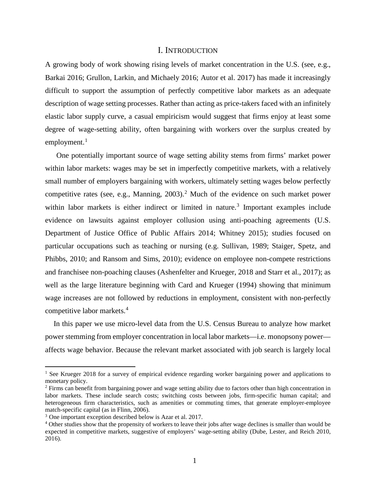#### I. INTRODUCTION

A growing body of work showing rising levels of market concentration in the U.S. (see, e.g., Barkai 2016; Grullon, Larkin, and Michaely 2016; Autor et al. 2017) has made it increasingly difficult to support the assumption of perfectly competitive labor markets as an adequate description of wage setting processes. Rather than acting as price-takers faced with an infinitely elastic labor supply curve, a casual empiricism would suggest that firms enjoy at least some degree of wage-setting ability, often bargaining with workers over the surplus created by employment. $<sup>1</sup>$  $<sup>1</sup>$  $<sup>1</sup>$ </sup>

One potentially important source of wage setting ability stems from firms' market power within labor markets: wages may be set in imperfectly competitive markets, with a relatively small number of employers bargaining with workers, ultimately setting wages below perfectly competitive rates (see, e.g., Manning,  $2003$  $2003$ ).<sup>2</sup> Much of the evidence on such market power within labor markets is either indirect or limited in nature.<sup>[3](#page-2-2)</sup> Important examples include evidence on lawsuits against employer collusion using anti-poaching agreements (U.S. Department of Justice Office of Public Affairs 2014; Whitney 2015); studies focused on particular occupations such as teaching or nursing (e.g. Sullivan, 1989; Staiger, Spetz, and Phibbs, 2010; and Ransom and Sims, 2010); evidence on employee non-compete restrictions and franchisee non-poaching clauses (Ashenfelter and Krueger, 2018 and Starr et al., 2017); as well as the large literature beginning with Card and Krueger (1994) showing that minimum wage increases are not followed by reductions in employment, consistent with non-perfectly competitive labor markets.[4](#page-2-3)

In this paper we use micro-level data from the U.S. Census Bureau to analyze how market power stemming from employer concentration in local labor markets—i.e. monopsony power affects wage behavior. Because the relevant market associated with job search is largely local

<span id="page-2-0"></span><sup>&</sup>lt;sup>1</sup> See Krueger 2018 for a survey of empirical evidence regarding worker bargaining power and applications to monetary policy.

<span id="page-2-1"></span><sup>&</sup>lt;sup>2</sup> Firms can benefit from bargaining power and wage setting ability due to factors other than high concentration in labor markets. These include search costs; switching costs between jobs, firm-specific human capital; and heterogeneous firm characteristics, such as amenities or commuting times, that generate employer-employee match-specific capital (as in Flinn, 2006).

<span id="page-2-2"></span><sup>3</sup> One important exception described below is Azar et al. 2017.

<span id="page-2-3"></span><sup>4</sup> Other studies show that the propensity of workers to leave their jobs after wage declines is smaller than would be expected in competitive markets, suggestive of employers' wage-setting ability (Dube, Lester, and Reich 2010, 2016).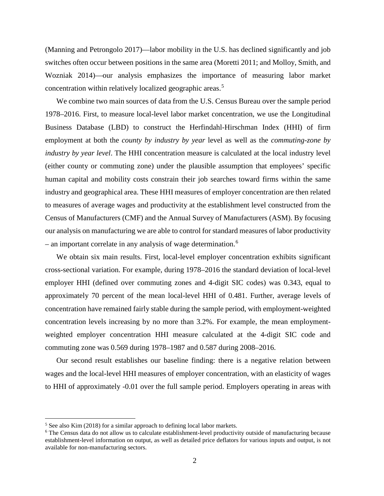(Manning and Petrongolo 2017)—labor mobility in the U.S. has declined significantly and job switches often occur between positions in the same area (Moretti 2011; and Molloy, Smith, and Wozniak 2014)—our analysis emphasizes the importance of measuring labor market concentration within relatively localized geographic areas.<sup>[5](#page-3-0)</sup>

We combine two main sources of data from the U.S. Census Bureau over the sample period 1978–2016. First, to measure local-level labor market concentration, we use the Longitudinal Business Database (LBD) to construct the Herfindahl-Hirschman Index (HHI) of firm employment at both the *county by industry by year* level as well as the *commuting-zone by industry by year level*. The HHI concentration measure is calculated at the local industry level (either county or commuting zone) under the plausible assumption that employees' specific human capital and mobility costs constrain their job searches toward firms within the same industry and geographical area. These HHI measures of employer concentration are then related to measures of average wages and productivity at the establishment level constructed from the Census of Manufacturers (CMF) and the Annual Survey of Manufacturers (ASM). By focusing our analysis on manufacturing we are able to control for standard measures of labor productivity – an important correlate in any analysis of wage determination.<sup>[6](#page-3-1)</sup>

We obtain six main results. First, local-level employer concentration exhibits significant cross-sectional variation. For example, during 1978–2016 the standard deviation of local-level employer HHI (defined over commuting zones and 4-digit SIC codes) was 0.343, equal to approximately 70 percent of the mean local-level HHI of 0.481. Further, average levels of concentration have remained fairly stable during the sample period, with employment-weighted concentration levels increasing by no more than 3.2%. For example, the mean employmentweighted employer concentration HHI measure calculated at the 4-digit SIC code and commuting zone was 0.569 during 1978–1987 and 0.587 during 2008–2016.

Our second result establishes our baseline finding: there is a negative relation between wages and the local-level HHI measures of employer concentration, with an elasticity of wages to HHI of approximately -0.01 over the full sample period. Employers operating in areas with

<span id="page-3-0"></span><sup>&</sup>lt;sup>5</sup> See also Kim (2018) for a similar approach to defining local labor markets.

<span id="page-3-1"></span><sup>&</sup>lt;sup>6</sup> The Census data do not allow us to calculate establishment-level productivity outside of manufacturing because establishment-level information on output, as well as detailed price deflators for various inputs and output, is not available for non-manufacturing sectors.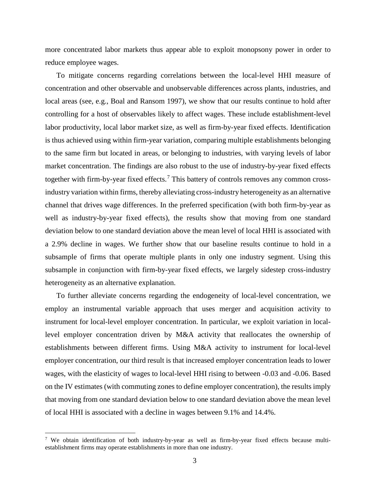more concentrated labor markets thus appear able to exploit monopsony power in order to reduce employee wages.

To mitigate concerns regarding correlations between the local-level HHI measure of concentration and other observable and unobservable differences across plants, industries, and local areas (see, e.g., Boal and Ransom 1997), we show that our results continue to hold after controlling for a host of observables likely to affect wages. These include establishment-level labor productivity, local labor market size, as well as firm-by-year fixed effects. Identification is thus achieved using within firm-year variation, comparing multiple establishments belonging to the same firm but located in areas, or belonging to industries, with varying levels of labor market concentration. The findings are also robust to the use of industry-by-year fixed effects together with firm-by-year fixed effects.[7](#page-4-0) This battery of controls removes any common crossindustry variation within firms, thereby alleviating cross-industry heterogeneity as an alternative channel that drives wage differences. In the preferred specification (with both firm-by-year as well as industry-by-year fixed effects), the results show that moving from one standard deviation below to one standard deviation above the mean level of local HHI is associated with a 2.9% decline in wages. We further show that our baseline results continue to hold in a subsample of firms that operate multiple plants in only one industry segment. Using this subsample in conjunction with firm-by-year fixed effects, we largely sidestep cross-industry heterogeneity as an alternative explanation.

To further alleviate concerns regarding the endogeneity of local-level concentration, we employ an instrumental variable approach that uses merger and acquisition activity to instrument for local-level employer concentration. In particular, we exploit variation in locallevel employer concentration driven by M&A activity that reallocates the ownership of establishments between different firms. Using M&A activity to instrument for local-level employer concentration, our third result is that increased employer concentration leads to lower wages, with the elasticity of wages to local-level HHI rising to between -0.03 and -0.06. Based on the IV estimates (with commuting zones to define employer concentration), the results imply that moving from one standard deviation below to one standard deviation above the mean level of local HHI is associated with a decline in wages between 9.1% and 14.4%.

<span id="page-4-0"></span> <sup>7</sup> We obtain identification of both industry-by-year as well as firm-by-year fixed effects because multiestablishment firms may operate establishments in more than one industry.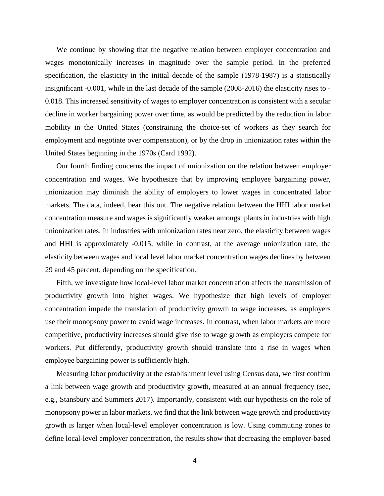We continue by showing that the negative relation between employer concentration and wages monotonically increases in magnitude over the sample period. In the preferred specification, the elasticity in the initial decade of the sample (1978-1987) is a statistically insignificant -0.001, while in the last decade of the sample (2008-2016) the elasticity rises to - 0.018. This increased sensitivity of wages to employer concentration is consistent with a secular decline in worker bargaining power over time, as would be predicted by the reduction in labor mobility in the United States (constraining the choice-set of workers as they search for employment and negotiate over compensation), or by the drop in unionization rates within the United States beginning in the 1970s (Card 1992).

Our fourth finding concerns the impact of unionization on the relation between employer concentration and wages. We hypothesize that by improving employee bargaining power, unionization may diminish the ability of employers to lower wages in concentrated labor markets. The data, indeed, bear this out. The negative relation between the HHI labor market concentration measure and wages is significantly weaker amongst plants in industries with high unionization rates. In industries with unionization rates near zero, the elasticity between wages and HHI is approximately -0.015, while in contrast, at the average unionization rate, the elasticity between wages and local level labor market concentration wages declines by between 29 and 45 percent, depending on the specification.

Fifth, we investigate how local-level labor market concentration affects the transmission of productivity growth into higher wages. We hypothesize that high levels of employer concentration impede the translation of productivity growth to wage increases, as employers use their monopsony power to avoid wage increases. In contrast, when labor markets are more competitive, productivity increases should give rise to wage growth as employers compete for workers. Put differently, productivity growth should translate into a rise in wages when employee bargaining power is sufficiently high.

Measuring labor productivity at the establishment level using Census data, we first confirm a link between wage growth and productivity growth, measured at an annual frequency (see, e.g., Stansbury and Summers 2017). Importantly, consistent with our hypothesis on the role of monopsony power in labor markets, we find that the link between wage growth and productivity growth is larger when local-level employer concentration is low. Using commuting zones to define local-level employer concentration, the results show that decreasing the employer-based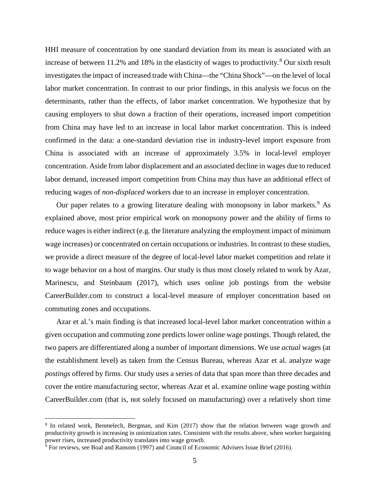HHI measure of concentration by one standard deviation from its mean is associated with an increase of between 11.2% and 1[8](#page-6-0)% in the elasticity of wages to productivity.<sup>8</sup> Our sixth result investigates the impact of increased trade with China—the "China Shock"—on the level of local labor market concentration. In contrast to our prior findings, in this analysis we focus on the determinants, rather than the effects, of labor market concentration. We hypothesize that by causing employers to shut down a fraction of their operations, increased import competition from China may have led to an increase in local labor market concentration. This is indeed confirmed in the data: a one-standard deviation rise in industry-level import exposure from China is associated with an increase of approximately 3.5% in local-level employer concentration. Aside from labor displacement and an associated decline in wages due to reduced labor demand, increased import competition from China may thus have an additional effect of reducing wages of *non-displaced* workers due to an increase in employer concentration.

Our paper relates to a growing literature dealing with monopsony in labor markets. As explained above, most prior empirical work on monopsony power and the ability of firms to reduce wages is either indirect (e.g. the literature analyzing the employment impact of minimum wage increases) or concentrated on certain occupations or industries. In contrast to these studies, we provide a direct measure of the degree of local-level labor market competition and relate it to wage behavior on a host of margins. Our study is thus most closely related to work by Azar, Marinescu, and Steinbaum (2017), which uses online job postings from the website CareerBuilder.com to construct a local-level measure of employer concentration based on commuting zones and occupations.

Azar et al.'s main finding is that increased local-level labor market concentration within a given occupation and commuting zone predicts lower online wage postings. Though related, the two papers are differentiated along a number of important dimensions. We use *actual* wages (at the establishment level) as taken from the Census Bureau, whereas Azar et al. analyze wage *postings* offered by firms. Our study uses a series of data that span more than three decades and cover the entire manufacturing sector, whereas Azar et al. examine online wage posting within CareerBuilder.com (that is, not solely focused on manufacturing) over a relatively short time

<span id="page-6-0"></span> <sup>8</sup> In related work, Benmelech, Bergman, and Kim (2017) show that the relation between wage growth and productivity growth is increasing in unionization rates. Consistent with the results above, when worker bargaining power rises, increased productivity translates into wage growth.

<span id="page-6-1"></span><sup>9</sup> For reviews, see Boal and Ransom (1997) and Council of Economic Advisers Issue Brief (2016).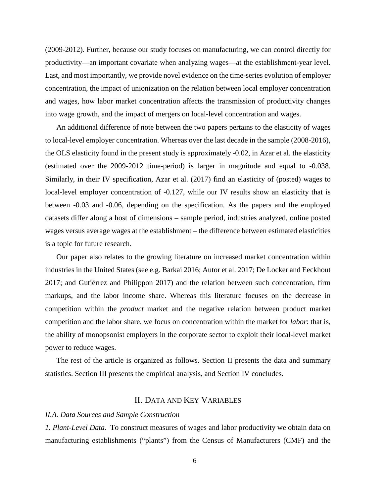(2009-2012). Further, because our study focuses on manufacturing, we can control directly for productivity—an important covariate when analyzing wages—at the establishment-year level. Last, and most importantly, we provide novel evidence on the time-series evolution of employer concentration, the impact of unionization on the relation between local employer concentration and wages, how labor market concentration affects the transmission of productivity changes into wage growth, and the impact of mergers on local-level concentration and wages.

An additional difference of note between the two papers pertains to the elasticity of wages to local-level employer concentration. Whereas over the last decade in the sample (2008-2016), the OLS elasticity found in the present study is approximately -0.02, in Azar et al. the elasticity (estimated over the 2009-2012 time-period) is larger in magnitude and equal to -0.038. Similarly, in their IV specification, Azar et al. (2017) find an elasticity of (posted) wages to local-level employer concentration of -0.127, while our IV results show an elasticity that is between -0.03 and -0.06, depending on the specification. As the papers and the employed datasets differ along a host of dimensions – sample period, industries analyzed, online posted wages versus average wages at the establishment – the difference between estimated elasticities is a topic for future research.

Our paper also relates to the growing literature on increased market concentration within industries in the United States (see e.g. Barkai 2016; Autor et al. 2017; De Locker and Eeckhout 2017; and Gutiérrez and Philippon 2017) and the relation between such concentration, firm markups, and the labor income share. Whereas this literature focuses on the decrease in competition within the *product* market and the negative relation between product market competition and the labor share, we focus on concentration within the market for *labor*: that is, the ability of monopsonist employers in the corporate sector to exploit their local-level market power to reduce wages.

The rest of the article is organized as follows. Section II presents the data and summary statistics. Section III presents the empirical analysis, and Section IV concludes.

## II. DATA AND KEY VARIABLES

#### *II.A. Data Sources and Sample Construction*

*1. Plant-Level Data.* To construct measures of wages and labor productivity we obtain data on manufacturing establishments ("plants") from the Census of Manufacturers (CMF) and the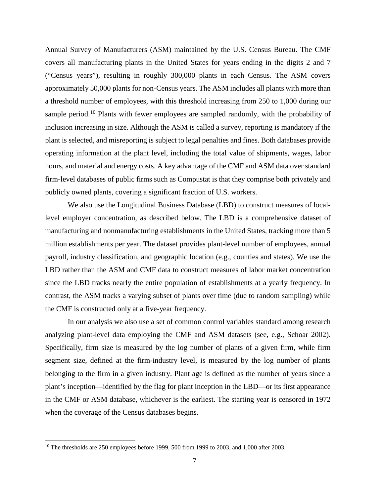Annual Survey of Manufacturers (ASM) maintained by the U.S. Census Bureau. The CMF covers all manufacturing plants in the United States for years ending in the digits 2 and 7 ("Census years"), resulting in roughly 300,000 plants in each Census. The ASM covers approximately 50,000 plants for non-Census years. The ASM includes all plants with more than a threshold number of employees, with this threshold increasing from 250 to 1,000 during our sample period.<sup>[10](#page-8-0)</sup> Plants with fewer employees are sampled randomly, with the probability of inclusion increasing in size. Although the ASM is called a survey, reporting is mandatory if the plant is selected, and misreporting is subject to legal penalties and fines. Both databases provide operating information at the plant level, including the total value of shipments, wages, labor hours, and material and energy costs. A key advantage of the CMF and ASM data over standard firm-level databases of public firms such as Compustat is that they comprise both privately and publicly owned plants, covering a significant fraction of U.S. workers.

We also use the Longitudinal Business Database (LBD) to construct measures of locallevel employer concentration, as described below. The LBD is a comprehensive dataset of manufacturing and nonmanufacturing establishments in the United States, tracking more than 5 million establishments per year. The dataset provides plant-level number of employees, annual payroll, industry classification, and geographic location (e.g., counties and states). We use the LBD rather than the ASM and CMF data to construct measures of labor market concentration since the LBD tracks nearly the entire population of establishments at a yearly frequency. In contrast, the ASM tracks a varying subset of plants over time (due to random sampling) while the CMF is constructed only at a five-year frequency.

In our analysis we also use a set of common control variables standard among research analyzing plant-level data employing the CMF and ASM datasets (see, e.g., Schoar 2002). Specifically, firm size is measured by the log number of plants of a given firm, while firm segment size, defined at the firm-industry level, is measured by the log number of plants belonging to the firm in a given industry. Plant age is defined as the number of years since a plant's inception—identified by the flag for plant inception in the LBD—or its first appearance in the CMF or ASM database, whichever is the earliest. The starting year is censored in 1972 when the coverage of the Census databases begins.

<span id="page-8-0"></span> $10$  The thresholds are 250 employees before 1999, 500 from 1999 to 2003, and 1,000 after 2003.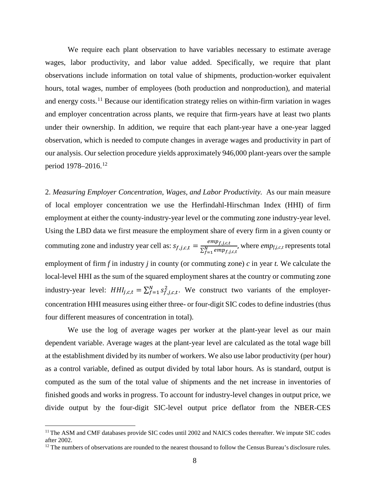We require each plant observation to have variables necessary to estimate average wages, labor productivity, and labor value added. Specifically, we require that plant observations include information on total value of shipments, production-worker equivalent hours, total wages, number of employees (both production and nonproduction), and material and energy costs.<sup>[11](#page-9-0)</sup> Because our identification strategy relies on within-firm variation in wages and employer concentration across plants, we require that firm-years have at least two plants under their ownership. In addition, we require that each plant-year have a one-year lagged observation, which is needed to compute changes in average wages and productivity in part of our analysis. Our selection procedure yields approximately 946,000 plant-years over the sample period 1978–2016. [12](#page-9-1)

2. *Measuring Employer Concentration, Wages, and Labor Productivity.* As our main measure of local employer concentration we use the Herfindahl-Hirschman Index (HHI) of firm employment at either the county-industry-year level or the commuting zone industry-year level. Using the LBD data we first measure the employment share of every firm in a given county or commuting zone and industry year cell as:  $s_{f,j,c,t} = \frac{emp_{f,j,c,t}}{\sum_{f=1}^{N}emp_{f,j,c,t}}$ , where *emp<sub>f,j,c,t</sub>* represents total employment of firm  $f$  in industry  $j$  in county (or commuting zone)  $c$  in year  $t$ . We calculate the local-level HHI as the sum of the squared employment shares at the country or commuting zone industry-year level:  $HH_{j,c,t} = \sum_{f=1}^{N} s_{f,j,c,t}^2$ . We construct two variants of the employerconcentration HHI measures using either three- or four-digit SIC codes to define industries (thus four different measures of concentration in total).

We use the log of average wages per worker at the plant-year level as our main dependent variable. Average wages at the plant-year level are calculated as the total wage bill at the establishment divided by its number of workers. We also use labor productivity (per hour) as a control variable, defined as output divided by total labor hours. As is standard, output is computed as the sum of the total value of shipments and the net increase in inventories of finished goods and works in progress. To account for industry-level changes in output price, we divide output by the four-digit SIC-level output price deflator from the NBER-CES

<span id="page-9-0"></span><sup>&</sup>lt;sup>11</sup> The ASM and CMF databases provide SIC codes until 2002 and NAICS codes thereafter. We impute SIC codes after 2002.

<span id="page-9-1"></span><sup>&</sup>lt;sup>12</sup> The numbers of observations are rounded to the nearest thousand to follow the Census Bureau's disclosure rules.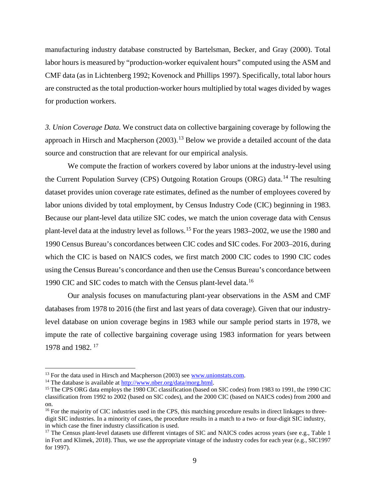manufacturing industry database constructed by Bartelsman, Becker, and Gray (2000). Total labor hours is measured by "production-worker equivalent hours" computed using the ASM and CMF data (as in Lichtenberg 1992; Kovenock and Phillips 1997). Specifically, total labor hours are constructed as the total production-worker hours multiplied by total wages divided by wages for production workers.

*3. Union Coverage Data.* We construct data on collective bargaining coverage by following the approach in Hirsch and Macpherson (2003).<sup>[13](#page-10-0)</sup> Below we provide a detailed account of the data source and construction that are relevant for our empirical analysis.

We compute the fraction of workers covered by labor unions at the industry-level using the Current Population Survey (CPS) Outgoing Rotation Groups (ORG) data.<sup>[14](#page-10-1)</sup> The resulting dataset provides union coverage rate estimates, defined as the number of employees covered by labor unions divided by total employment, by Census Industry Code (CIC) beginning in 1983. Because our plant-level data utilize SIC codes, we match the union coverage data with Census plant-level data at the industry level as follows. [15](#page-10-2) For the years 1983–2002, we use the 1980 and 1990 Census Bureau's concordances between CIC codes and SIC codes. For 2003–2016, during which the CIC is based on NAICS codes, we first match 2000 CIC codes to 1990 CIC codes using the Census Bureau's concordance and then use the Census Bureau's concordance between 1990 CIC and SIC codes to match with the Census plant-level data.<sup>[16](#page-10-3)</sup>

Our analysis focuses on manufacturing plant-year observations in the ASM and CMF databases from 1978 to 2016 (the first and last years of data coverage). Given that our industrylevel database on union coverage begins in 1983 while our sample period starts in 1978, we impute the rate of collective bargaining coverage using 1983 information for years between 1978 and 1982.<sup>[17](#page-10-4)</sup>

<span id="page-10-0"></span><sup>&</sup>lt;sup>13</sup> For the data used in Hirsch and Macpherson (2003) see [www.unionstats.com.](http://www.unionstats.com/)

<span id="page-10-1"></span><sup>&</sup>lt;sup>14</sup> The database is available at  $\frac{http://www.nber.org/data/morg.html}{http://www.nber.org/data/morg.html}$ .

<span id="page-10-2"></span><sup>&</sup>lt;sup>15</sup> The CPS ORG data employs the 1980 CIC classification (based on SIC codes) from 1983 to 1991, the 1990 CIC classification from 1992 to 2002 (based on SIC codes), and the 2000 CIC (based on NAICS codes) from 2000 and on.

<span id="page-10-3"></span><sup>&</sup>lt;sup>16</sup> For the majority of CIC industries used in the CPS, this matching procedure results in direct linkages to threedigit SIC industries. In a minority of cases, the procedure results in a match to a two- or four-digit SIC industry, in which case the finer industry classification is used.

<span id="page-10-4"></span> $17$  The Census plant-level datasets use different vintages of SIC and NAICS codes across years (see e.g., Table 1) in Fort and Klimek, 2018). Thus, we use the appropriate vintage of the industry codes for each year (e.g., SIC1997 for 1997).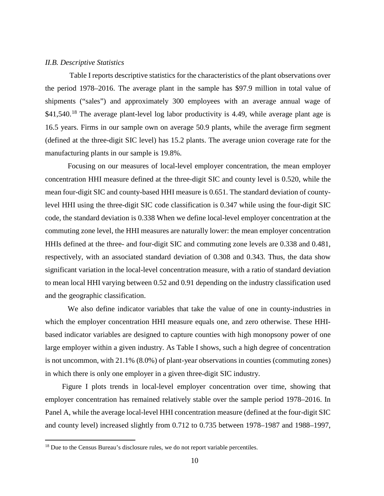#### *II.B. Descriptive Statistics*

Table I reports descriptive statistics for the characteristics of the plant observations over the period 1978–2016. The average plant in the sample has \$97.9 million in total value of shipments ("sales") and approximately 300 employees with an average annual wage of \$41,540.<sup>[18](#page-11-0)</sup> The average plant-level log labor productivity is 4.49, while average plant age is 16.5 years. Firms in our sample own on average 50.9 plants, while the average firm segment (defined at the three-digit SIC level) has 15.2 plants. The average union coverage rate for the manufacturing plants in our sample is 19.8%.

Focusing on our measures of local-level employer concentration, the mean employer concentration HHI measure defined at the three-digit SIC and county level is 0.520, while the mean four-digit SIC and county-based HHI measure is 0.651. The standard deviation of countylevel HHI using the three-digit SIC code classification is 0.347 while using the four-digit SIC code, the standard deviation is 0.338 When we define local-level employer concentration at the commuting zone level, the HHI measures are naturally lower: the mean employer concentration HHIs defined at the three- and four-digit SIC and commuting zone levels are 0.338 and 0.481, respectively, with an associated standard deviation of 0.308 and 0.343. Thus, the data show significant variation in the local-level concentration measure, with a ratio of standard deviation to mean local HHI varying between 0.52 and 0.91 depending on the industry classification used and the geographic classification.

We also define indicator variables that take the value of one in county-industries in which the employer concentration HHI measure equals one, and zero otherwise. These HHIbased indicator variables are designed to capture counties with high monopsony power of one large employer within a given industry. As Table I shows, such a high degree of concentration is not uncommon, with 21.1% (8.0%) of plant-year observations in counties (commuting zones) in which there is only one employer in a given three-digit SIC industry.

Figure I plots trends in local-level employer concentration over time, showing that employer concentration has remained relatively stable over the sample period 1978–2016. In Panel A, while the average local-level HHI concentration measure (defined at the four-digit SIC and county level) increased slightly from 0.712 to 0.735 between 1978–1987 and 1988–1997,

<span id="page-11-0"></span><sup>&</sup>lt;sup>18</sup> Due to the Census Bureau's disclosure rules, we do not report variable percentiles.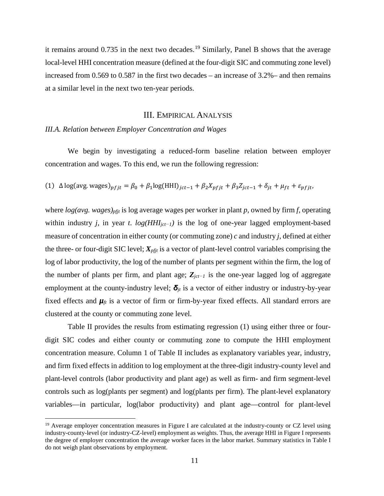it remains around  $0.735$  in the next two decades.<sup>[19](#page-12-0)</sup> Similarly, Panel B shows that the average local-level HHI concentration measure (defined at the four-digit SIC and commuting zone level) increased from 0.569 to 0.587 in the first two decades – an increase of 3.2%– and then remains at a similar level in the next two ten-year periods.

## III. EMPIRICAL ANALYSIS

#### *III.A. Relation between Employer Concentration and Wages*

We begin by investigating a reduced-form baseline relation between employer concentration and wages. To this end, we run the following regression:

(1)  $\Delta \log(\text{avg. wages})_{pfit} = \beta_0 + \beta_1 \log(HHI)_{ict-1} + \beta_2 X_{pfit} + \beta_3 Z_{ict-1} + \delta_{it} + \mu_{ft} + \varepsilon_{pfit}$ 

where *log(avg. wages)pfjt* is log average wages per worker in plant *p*, owned by firm *f*, operating within industry *j,* in year *t*. *log(HHIjct−1)* is the log of one-year lagged employment-based measure of concentration in either county (or commuting zone) *c* and industry *j*, defined at either the three- or four-digit SIC level; *Xpfjt* is a vector of plant-level control variables comprising the log of labor productivity, the log of the number of plants per segment within the firm, the log of the number of plants per firm, and plant age; *Zjct−<sup>1</sup>* is the one-year lagged log of aggregate employment at the county-industry level;  $\delta_{it}$  is a vector of either industry or industry-by-year fixed effects and  $\mu_f$  is a vector of firm or firm-by-year fixed effects. All standard errors are clustered at the county or commuting zone level.

Table II provides the results from estimating regression (1) using either three or fourdigit SIC codes and either county or commuting zone to compute the HHI employment concentration measure. Column 1 of Table II includes as explanatory variables year, industry, and firm fixed effects in addition to log employment at the three-digit industry-county level and plant-level controls (labor productivity and plant age) as well as firm- and firm segment-level controls such as log(plants per segment) and log(plants per firm). The plant-level explanatory variables—in particular, log(labor productivity) and plant age—control for plant-level

<span id="page-12-0"></span><sup>&</sup>lt;sup>19</sup> Average employer concentration measures in Figure I are calculated at the industry-county or CZ level using industry-county-level (or industry-CZ-level) employment as weights. Thus, the average HHI in Figure I represents the degree of employer concentration the average worker faces in the labor market. Summary statistics in Table I do not weigh plant observations by employment.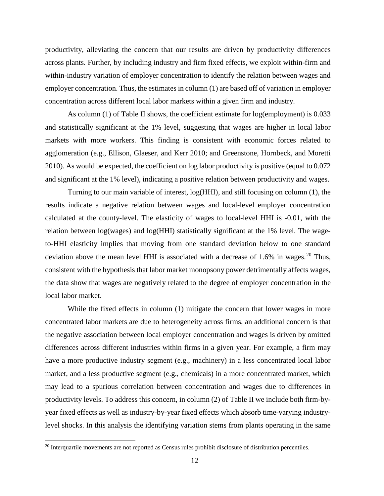productivity, alleviating the concern that our results are driven by productivity differences across plants. Further, by including industry and firm fixed effects, we exploit within-firm and within-industry variation of employer concentration to identify the relation between wages and employer concentration. Thus, the estimates in column (1) are based off of variation in employer concentration across different local labor markets within a given firm and industry.

As column (1) of Table II shows, the coefficient estimate for log(employment) is 0.033 and statistically significant at the 1% level, suggesting that wages are higher in local labor markets with more workers. This finding is consistent with economic forces related to agglomeration (e.g., Ellison, Glaeser, and Kerr 2010; and Greenstone, Hornbeck, and Moretti 2010). As would be expected, the coefficient on log labor productivity is positive (equal to 0.072 and significant at the 1% level), indicating a positive relation between productivity and wages.

Turning to our main variable of interest, log(HHI), and still focusing on column (1), the results indicate a negative relation between wages and local-level employer concentration calculated at the county-level. The elasticity of wages to local-level HHI is -0.01, with the relation between log(wages) and log(HHI) statistically significant at the 1% level. The wageto-HHI elasticity implies that moving from one standard deviation below to one standard deviation above the mean level HHI is associated with a decrease of 1.6% in wages.<sup>[20](#page-13-0)</sup> Thus, consistent with the hypothesis that labor market monopsony power detrimentally affects wages, the data show that wages are negatively related to the degree of employer concentration in the local labor market.

While the fixed effects in column (1) mitigate the concern that lower wages in more concentrated labor markets are due to heterogeneity across firms, an additional concern is that the negative association between local employer concentration and wages is driven by omitted differences across different industries within firms in a given year. For example, a firm may have a more productive industry segment (e.g., machinery) in a less concentrated local labor market, and a less productive segment (e.g., chemicals) in a more concentrated market, which may lead to a spurious correlation between concentration and wages due to differences in productivity levels. To address this concern, in column (2) of Table II we include both firm-byyear fixed effects as well as industry-by-year fixed effects which absorb time-varying industrylevel shocks. In this analysis the identifying variation stems from plants operating in the same

<span id="page-13-0"></span><sup>&</sup>lt;sup>20</sup> Interquartile movements are not reported as Census rules prohibit disclosure of distribution percentiles.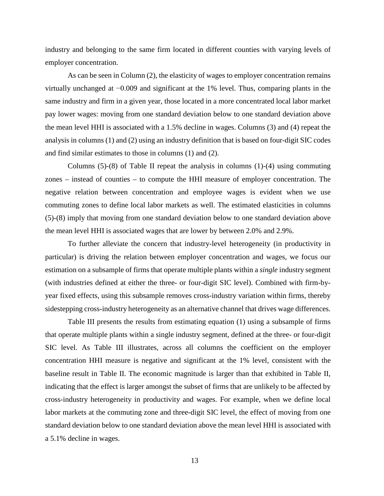industry and belonging to the same firm located in different counties with varying levels of employer concentration.

As can be seen in Column (2), the elasticity of wages to employer concentration remains virtually unchanged at −0.009 and significant at the 1% level. Thus, comparing plants in the same industry and firm in a given year, those located in a more concentrated local labor market pay lower wages: moving from one standard deviation below to one standard deviation above the mean level HHI is associated with a 1.5% decline in wages. Columns (3) and (4) repeat the analysis in columns (1) and (2) using an industry definition that is based on four-digit SIC codes and find similar estimates to those in columns (1) and (2).

Columns (5)-(8) of Table II repeat the analysis in columns (1)-(4) using commuting zones – instead of counties – to compute the HHI measure of employer concentration. The negative relation between concentration and employee wages is evident when we use commuting zones to define local labor markets as well. The estimated elasticities in columns (5)-(8) imply that moving from one standard deviation below to one standard deviation above the mean level HHI is associated wages that are lower by between 2.0% and 2.9%.

To further alleviate the concern that industry-level heterogeneity (in productivity in particular) is driving the relation between employer concentration and wages, we focus our estimation on a subsample of firms that operate multiple plants within a *single* industry segment (with industries defined at either the three- or four-digit SIC level). Combined with firm-byyear fixed effects, using this subsample removes cross-industry variation within firms, thereby sidestepping cross-industry heterogeneity as an alternative channel that drives wage differences.

Table III presents the results from estimating equation (1) using a subsample of firms that operate multiple plants within a single industry segment, defined at the three- or four-digit SIC level. As Table III illustrates, across all columns the coefficient on the employer concentration HHI measure is negative and significant at the 1% level, consistent with the baseline result in Table II. The economic magnitude is larger than that exhibited in Table II, indicating that the effect is larger amongst the subset of firms that are unlikely to be affected by cross-industry heterogeneity in productivity and wages. For example, when we define local labor markets at the commuting zone and three-digit SIC level, the effect of moving from one standard deviation below to one standard deviation above the mean level HHI is associated with a 5.1% decline in wages.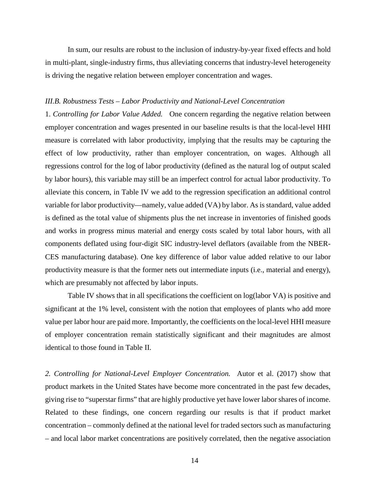In sum, our results are robust to the inclusion of industry-by-year fixed effects and hold in multi-plant, single-industry firms, thus alleviating concerns that industry-level heterogeneity is driving the negative relation between employer concentration and wages.

#### *III.B. Robustness Tests – Labor Productivity and National-Level Concentration*

1. *Controlling for Labor Value Added.* One concern regarding the negative relation between employer concentration and wages presented in our baseline results is that the local-level HHI measure is correlated with labor productivity, implying that the results may be capturing the effect of low productivity, rather than employer concentration, on wages. Although all regressions control for the log of labor productivity (defined as the natural log of output scaled by labor hours), this variable may still be an imperfect control for actual labor productivity. To alleviate this concern, in Table IV we add to the regression specification an additional control variable for labor productivity—namely, value added (VA) by labor. As is standard, value added is defined as the total value of shipments plus the net increase in inventories of finished goods and works in progress minus material and energy costs scaled by total labor hours, with all components deflated using four-digit SIC industry-level deflators (available from the NBER-CES manufacturing database). One key difference of labor value added relative to our labor productivity measure is that the former nets out intermediate inputs (i.e., material and energy), which are presumably not affected by labor inputs.

Table IV shows that in all specifications the coefficient on log(labor VA) is positive and significant at the 1% level, consistent with the notion that employees of plants who add more value per labor hour are paid more. Importantly, the coefficients on the local-level HHI measure of employer concentration remain statistically significant and their magnitudes are almost identical to those found in Table II.

*2. Controlling for National-Level Employer Concentration.* Autor et al. (2017) show that product markets in the United States have become more concentrated in the past few decades, giving rise to "superstar firms" that are highly productive yet have lower labor shares of income. Related to these findings, one concern regarding our results is that if product market concentration – commonly defined at the national level for traded sectors such as manufacturing – and local labor market concentrations are positively correlated, then the negative association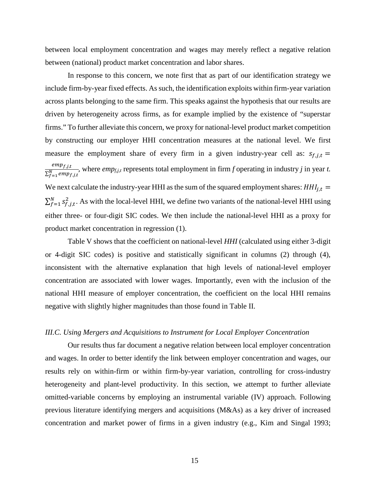between local employment concentration and wages may merely reflect a negative relation between (national) product market concentration and labor shares.

In response to this concern, we note first that as part of our identification strategy we include firm-by-year fixed effects. As such, the identification exploits within firm-year variation across plants belonging to the same firm. This speaks against the hypothesis that our results are driven by heterogeneity across firms, as for example implied by the existence of "superstar firms." To further alleviate this concern, we proxy for national-level product market competition by constructing our employer HHI concentration measures at the national level. We first measure the employment share of every firm in a given industry-year cell as:  $s_{f,j,t}$  = ет $p_{f,j,t}$  $\sum_{f=1}^{m} e^{m p} f_{j,t}$ , where *emp<sub>f,j,t</sub>* represents total employment in firm *f* operating in industry *j* in year *t*. We next calculate the industry-year HHI as the sum of the squared employment shares:  $HHI_{j,t}$  =  $\sum_{f=1}^{N} s_{f,j,t}^2$ . As with the local-level HHI, we define two variants of the national-level HHI using either three- or four-digit SIC codes. We then include the national-level HHI as a proxy for product market concentration in regression (1).

Table V shows that the coefficient on national-level *HHI* (calculated using either 3-digit or 4-digit SIC codes) is positive and statistically significant in columns (2) through (4), inconsistent with the alternative explanation that high levels of national-level employer concentration are associated with lower wages. Importantly, even with the inclusion of the national HHI measure of employer concentration, the coefficient on the local HHI remains negative with slightly higher magnitudes than those found in Table II.

#### *III.C. Using Mergers and Acquisitions to Instrument for Local Employer Concentration*

Our results thus far document a negative relation between local employer concentration and wages. In order to better identify the link between employer concentration and wages, our results rely on within-firm or within firm-by-year variation, controlling for cross-industry heterogeneity and plant-level productivity. In this section, we attempt to further alleviate omitted-variable concerns by employing an instrumental variable (IV) approach. Following previous literature identifying mergers and acquisitions (M&As) as a key driver of increased concentration and market power of firms in a given industry (e.g., Kim and Singal 1993;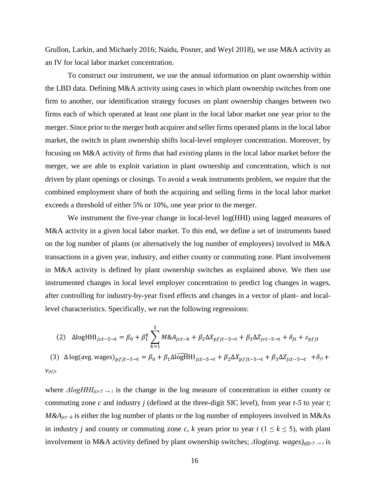Grullon, Larkin, and Michaely 2016; Naidu, Posner, and Weyl 2018), we use M&A activity as an IV for local labor market concentration.

To construct our instrument, we use the annual information on plant ownership within the LBD data. Defining M&A activity using cases in which plant ownership switches from one firm to another, our identification strategy focuses on plant ownership changes between two firms each of which operated at least one plant in the local labor market one year prior to the merger. Since prior to the merger both acquirer and seller firms operated plants in the local labor market, the switch in plant ownership shifts local-level employer concentration. Moreover, by focusing on M&A activity of firms that had *existing* plants in the local labor market before the merger, we are able to exploit variation in plant ownership and concentration, which is not driven by plant openings or closings. To avoid a weak instruments problem, we require that the combined employment share of both the acquiring and selling firms in the local labor market exceeds a threshold of either 5% or 10%, one year prior to the merger.

We instrument the five-year change in local-level log(HHI) using lagged measures of M&A activity in a given local labor market. To this end, we define a set of instruments based on the log number of plants (or alternatively the log number of employees) involved in M&A transactions in a given year, industry, and either county or commuting zone. Plant involvement in M&A activity is defined by plant ownership switches as explained above*.* We then use instrumented changes in local level employer concentration to predict log changes in wages, after controlling for industry-by-year fixed effects and changes in a vector of plant- and locallevel characteristics. Specifically, we run the following regressions:

(2) 
$$
\Delta \text{logHHI}_{jct-5\to t} = \beta_0 + \beta_1^k \sum_{k=1}^5 M \& A_{jct-k} + \beta_2 \Delta X_{pfjt-5\to t} + \beta_3 \Delta Z_{jct-5\to t} + \delta_{jt} + \varepsilon_{pfjt}
$$

(3)  $\Delta \log(\text{avg.wages})_{pfjt-5\to t} = \beta_0 + \beta_1 \Delta \log[\text{HH}]_{ict-5\to t} + \beta_2 \Delta X_{pfjt-5\to t} + \beta_3 \Delta Z_{ict-5\to t} + \delta_{jt} + \delta_{jt}$  $v_{pfjt}$ 

where  $\Delta logHHI_{ict-5} \rightarrow t$  is the change in the log measure of concentration in either county or commuting zone *c* and industry *j* (defined at the three-digit SIC level), from year *t-5* to year *t*; *M&A<sub>jct</sub>*<sup>−</sup>*k* is either the log number of plants or the log number of employees involved in M&As in industry *j* and county or commuting zone *c*, *k* years prior to year  $t$  ( $1 \le k \le 5$ ), with plant involvement in M&A activity defined by plant ownership switches; *Δlog(avg. wages)pfjt-5 → t* is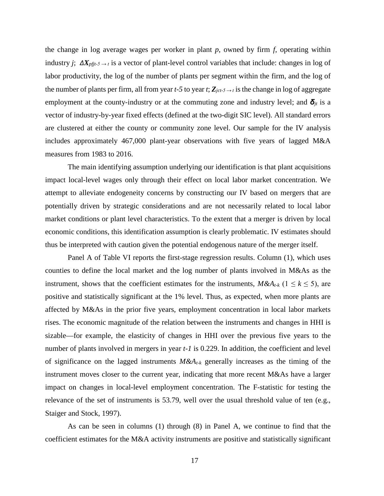the change in log average wages per worker in plant *p*, owned by firm *f*, operating within industry *j*;  $\Delta X_{\text{eff}t-5 \to t}$  is a vector of plant-level control variables that include: changes in log of labor productivity, the log of the number of plants per segment within the firm, and the log of the number of plants per firm, all from year *t*-5 to year *t*;  $\mathbb{Z}_{ict-5 \to t}$  is the change in log of aggregate employment at the county-industry or at the commuting zone and industry level; and  $\delta_{it}$  is a vector of industry-by-year fixed effects (defined at the two-digit SIC level). All standard errors are clustered at either the county or community zone level. Our sample for the IV analysis includes approximately 467,000 plant-year observations with five years of lagged M&A measures from 1983 to 2016.

The main identifying assumption underlying our identification is that plant acquisitions impact local-level wages only through their effect on local labor market concentration. We attempt to alleviate endogeneity concerns by constructing our IV based on mergers that are potentially driven by strategic considerations and are not necessarily related to local labor market conditions or plant level characteristics. To the extent that a merger is driven by local economic conditions, this identification assumption is clearly problematic. IV estimates should thus be interpreted with caution given the potential endogenous nature of the merger itself.

Panel A of Table VI reports the first-stage regression results. Column (1), which uses counties to define the local market and the log number of plants involved in M&As as the instrument, shows that the coefficient estimates for the instruments,  $M \& A_{t-k}$  ( $1 \leq k \leq 5$ ), are positive and statistically significant at the 1% level. Thus, as expected, when more plants are affected by M&As in the prior five years, employment concentration in local labor markets rises. The economic magnitude of the relation between the instruments and changes in HHI is sizable—for example, the elasticity of changes in HHI over the previous five years to the number of plants involved in mergers in year *t*-1 is 0.229. In addition, the coefficient and level of significance on the lagged instruments  $M \& A_{t-k}$  generally increases as the timing of the instrument moves closer to the current year, indicating that more recent M&As have a larger impact on changes in local-level employment concentration. The F-statistic for testing the relevance of the set of instruments is 53.79, well over the usual threshold value of ten (e.g., Staiger and Stock, 1997).

As can be seen in columns (1) through (8) in Panel A, we continue to find that the coefficient estimates for the M&A activity instruments are positive and statistically significant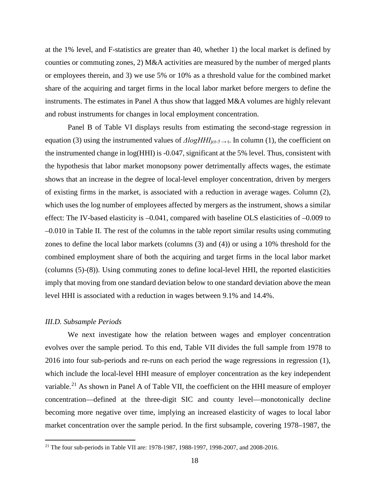at the 1% level, and F-statistics are greater than 40, whether 1) the local market is defined by counties or commuting zones, 2) M&A activities are measured by the number of merged plants or employees therein, and 3) we use 5% or 10% as a threshold value for the combined market share of the acquiring and target firms in the local labor market before mergers to define the instruments. The estimates in Panel A thus show that lagged M&A volumes are highly relevant and robust instruments for changes in local employment concentration.

Panel B of Table VI displays results from estimating the second-stage regression in equation (3) using the instrumented values of *ΔlogHHIjct-5 →* t. In column (1), the coefficient on the instrumented change in log(HHI) is -0.047, significant at the 5% level. Thus, consistent with the hypothesis that labor market monopsony power detrimentally affects wages, the estimate shows that an increase in the degree of local-level employer concentration, driven by mergers of existing firms in the market, is associated with a reduction in average wages. Column (2), which uses the log number of employees affected by mergers as the instrument, shows a similar effect: The IV-based elasticity is –0.041, compared with baseline OLS elasticities of –0.009 to –0.010 in Table II. The rest of the columns in the table report similar results using commuting zones to define the local labor markets (columns (3) and (4)) or using a 10% threshold for the combined employment share of both the acquiring and target firms in the local labor market (columns (5)-(8)). Using commuting zones to define local-level HHI, the reported elasticities imply that moving from one standard deviation below to one standard deviation above the mean level HHI is associated with a reduction in wages between 9.1% and 14.4%.

#### *III.D. Subsample Periods*

We next investigate how the relation between wages and employer concentration evolves over the sample period. To this end, Table VII divides the full sample from 1978 to 2016 into four sub-periods and re-runs on each period the wage regressions in regression (1), which include the local-level HHI measure of employer concentration as the key independent variable.<sup>[21](#page-19-0)</sup> As shown in Panel A of Table VII, the coefficient on the HHI measure of employer concentration—defined at the three-digit SIC and county level—monotonically decline becoming more negative over time, implying an increased elasticity of wages to local labor market concentration over the sample period. In the first subsample, covering 1978–1987, the

<span id="page-19-0"></span> <sup>21</sup> The four sub-periods in Table VII are: 1978-1987, 1988-1997, 1998-2007, and 2008-2016.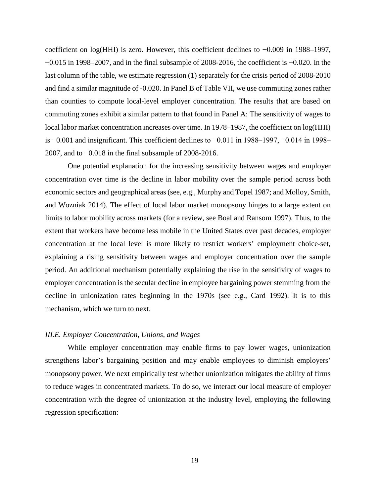coefficient on log(HHI) is zero. However, this coefficient declines to −0.009 in 1988–1997,  $-0.015$  in 1998–2007, and in the final subsample of 2008-2016, the coefficient is  $-0.020$ . In the last column of the table, we estimate regression (1) separately for the crisis period of 2008-2010 and find a similar magnitude of -0.020. In Panel B of Table VII, we use commuting zones rather than counties to compute local-level employer concentration. The results that are based on commuting zones exhibit a similar pattern to that found in Panel A: The sensitivity of wages to local labor market concentration increases over time. In 1978–1987, the coefficient on log(HHI) is −0.001 and insignificant. This coefficient declines to −0.011 in 1988–1997, −0.014 in 1998– 2007, and to −0.018 in the final subsample of 2008-2016.

One potential explanation for the increasing sensitivity between wages and employer concentration over time is the decline in labor mobility over the sample period across both economic sectors and geographical areas (see, e.g., Murphy and Topel 1987; and Molloy, Smith, and Wozniak 2014). The effect of local labor market monopsony hinges to a large extent on limits to labor mobility across markets (for a review, see Boal and Ransom 1997). Thus, to the extent that workers have become less mobile in the United States over past decades, employer concentration at the local level is more likely to restrict workers' employment choice-set, explaining a rising sensitivity between wages and employer concentration over the sample period. An additional mechanism potentially explaining the rise in the sensitivity of wages to employer concentration is the secular decline in employee bargaining power stemming from the decline in unionization rates beginning in the 1970s (see e.g., Card 1992). It is to this mechanism, which we turn to next.

#### *III.E. Employer Concentration, Unions, and Wages*

While employer concentration may enable firms to pay lower wages, unionization strengthens labor's bargaining position and may enable employees to diminish employers' monopsony power. We next empirically test whether unionization mitigates the ability of firms to reduce wages in concentrated markets. To do so, we interact our local measure of employer concentration with the degree of unionization at the industry level, employing the following regression specification: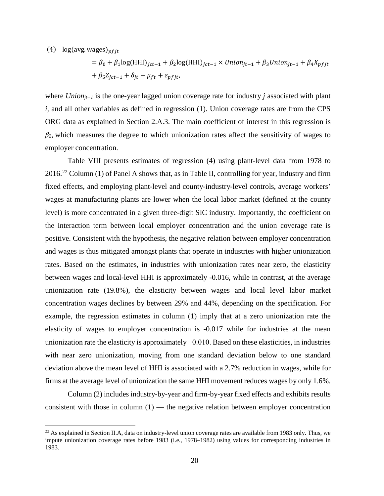(4)  $log(avg.wages)_{pfit}$ 

$$
= \beta_0 + \beta_1 \log(\text{HHI})_{ict-1} + \beta_2 \log(\text{HHI})_{ict-1} \times Union_{jt-1} + \beta_3 Union_{jt-1} + \beta_4 X_{pfjt}
$$

$$
+ \beta_5 Z_{ict-1} + \delta_{jt} + \mu_{ft} + \varepsilon_{pfjt},
$$

where *Unionjt−<sup>1</sup>* is the one-year lagged union coverage rate for industry *j* associated with plant *i,* and all other variables as defined in regression (1). Union coverage rates are from the CPS ORG data as explained in Section 2.A.3. The main coefficient of interest in this regression is *β2,* which measures the degree to which unionization rates affect the sensitivity of wages to employer concentration.

Table VIII presents estimates of regression (4) using plant-level data from 1978 to 2016.<sup>[22](#page-21-0)</sup> Column (1) of Panel A shows that, as in Table II, controlling for year, industry and firm fixed effects, and employing plant-level and county-industry-level controls, average workers' wages at manufacturing plants are lower when the local labor market (defined at the county level) is more concentrated in a given three-digit SIC industry. Importantly, the coefficient on the interaction term between local employer concentration and the union coverage rate is positive. Consistent with the hypothesis, the negative relation between employer concentration and wages is thus mitigated amongst plants that operate in industries with higher unionization rates. Based on the estimates, in industries with unionization rates near zero, the elasticity between wages and local-level HHI is approximately -0.016, while in contrast, at the average unionization rate (19.8%), the elasticity between wages and local level labor market concentration wages declines by between 29% and 44%, depending on the specification. For example, the regression estimates in column (1) imply that at a zero unionization rate the elasticity of wages to employer concentration is -0.017 while for industries at the mean unionization rate the elasticity is approximately −0.010. Based on these elasticities, in industries with near zero unionization, moving from one standard deviation below to one standard deviation above the mean level of HHI is associated with a 2.7% reduction in wages, while for firms at the average level of unionization the same HHI movement reduces wages by only 1.6%.

Column (2) includes industry-by-year and firm-by-year fixed effects and exhibits results consistent with those in column  $(1)$  — the negative relation between employer concentration

<span id="page-21-0"></span><sup>&</sup>lt;sup>22</sup> As explained in Section II.A, data on industry-level union coverage rates are available from 1983 only. Thus, we impute unionization coverage rates before 1983 (i.e., 1978–1982) using values for corresponding industries in 1983.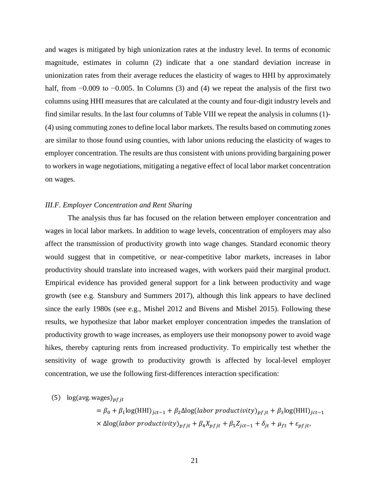and wages is mitigated by high unionization rates at the industry level. In terms of economic magnitude, estimates in column (2) indicate that a one standard deviation increase in unionization rates from their average reduces the elasticity of wages to HHI by approximately half, from  $-0.009$  to  $-0.005$ . In Columns (3) and (4) we repeat the analysis of the first two columns using HHI measures that are calculated at the county and four-digit industry levels and find similar results. In the last four columns of Table VIII we repeat the analysis in columns (1)- (4) using commuting zones to define local labor markets. The results based on commuting zones are similar to those found using counties, with labor unions reducing the elasticity of wages to employer concentration. The results are thus consistent with unions providing bargaining power to workers in wage negotiations, mitigating a negative effect of local labor market concentration on wages.

#### *III.F. Employer Concentration and Rent Sharing*

The analysis thus far has focused on the relation between employer concentration and wages in local labor markets. In addition to wage levels, concentration of employers may also affect the transmission of productivity growth into wage changes. Standard economic theory would suggest that in competitive, or near-competitive labor markets, increases in labor productivity should translate into increased wages, with workers paid their marginal product. Empirical evidence has provided general support for a link between productivity and wage growth (see e.g. Stansbury and Summers 2017), although this link appears to have declined since the early 1980s (see e.g., Mishel 2012 and Bivens and Mishel 2015). Following these results, we hypothesize that labor market employer concentration impedes the translation of productivity growth to wage increases, as employers use their monopsony power to avoid wage hikes, thereby capturing rents from increased productivity. To empirically test whether the sensitivity of wage growth to productivity growth is affected by local-level employer concentration, we use the following first-differences interaction specification:

(5)  $log(avg.wages)_{pfit}$ 

 $= \beta_0 + \beta_1 \log(HHI)_{ict-1} + \beta_2 \Delta \log(labor\,productivity)_{pfit} + \beta_3 \log(HHI)_{ict-1}$  $\times$   $\Delta$ log(*labor productivity*)<sub>*pfj*t</sub> +  $\beta_4 X_{pf}$ *j*t +  $\beta_5 Z_{jct-1}$  +  $\delta_{jt}$  +  $\mu_{ft}$  +  $\varepsilon_{pf}$ *j*t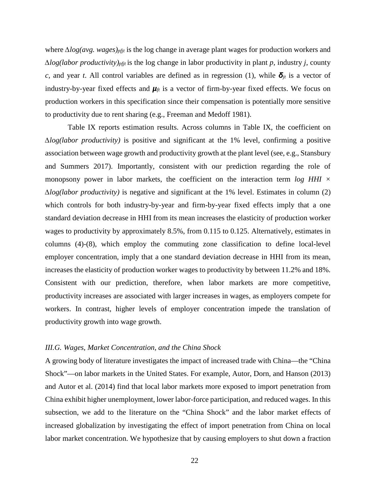where *∆log(avg. wages)pfjt* is the log change in average plant wages for production workers and *∆log(labor productivity)pfjt* is the log change in labor productivity in plant *p,* industry *j*, county *c*, and year *t*. All control variables are defined as in regression (1), while  $\delta$ *it* is a vector of industry-by-year fixed effects and  $\mu_f$  is a vector of firm-by-year fixed effects. We focus on production workers in this specification since their compensation is potentially more sensitive to productivity due to rent sharing (e.g., Freeman and Medoff 1981).

Table IX reports estimation results. Across columns in Table IX, the coefficient on *∆log(labor productivity)* is positive and significant at the 1% level, confirming a positive association between wage growth and productivity growth at the plant level (see, e.g., Stansbury and Summers 2017). Importantly, consistent with our prediction regarding the role of monopsony power in labor markets, the coefficient on the interaction term *log HHI × ∆log(labor productivity)* is negative and significant at the 1% level. Estimates in column (2) which controls for both industry-by-year and firm-by-year fixed effects imply that a one standard deviation decrease in HHI from its mean increases the elasticity of production worker wages to productivity by approximately 8.5%, from 0.115 to 0.125. Alternatively, estimates in columns (4)-(8), which employ the commuting zone classification to define local-level employer concentration, imply that a one standard deviation decrease in HHI from its mean, increases the elasticity of production worker wages to productivity by between 11.2% and 18%. Consistent with our prediction, therefore, when labor markets are more competitive, productivity increases are associated with larger increases in wages, as employers compete for workers. In contrast, higher levels of employer concentration impede the translation of productivity growth into wage growth.

#### *III.G. Wages, Market Concentration, and the China Shock*

A growing body of literature investigates the impact of increased trade with China—the "China Shock"—on labor markets in the United States. For example, Autor, Dorn, and Hanson (2013) and Autor et al. (2014) find that local labor markets more exposed to import penetration from China exhibit higher unemployment, lower labor-force participation, and reduced wages. In this subsection, we add to the literature on the "China Shock" and the labor market effects of increased globalization by investigating the effect of import penetration from China on local labor market concentration. We hypothesize that by causing employers to shut down a fraction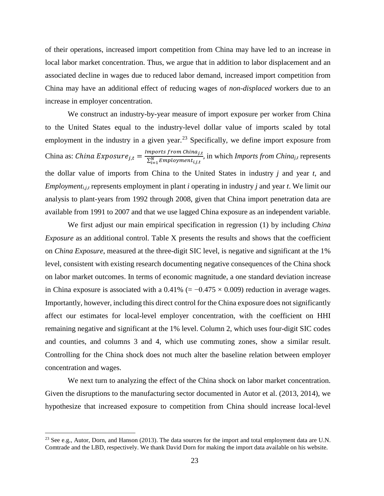of their operations, increased import competition from China may have led to an increase in local labor market concentration. Thus, we argue that in addition to labor displacement and an associated decline in wages due to reduced labor demand, increased import competition from China may have an additional effect of reducing wages of *non-displaced* workers due to an increase in employer concentration.

We construct an industry-by-year measure of import exposure per worker from China to the United States equal to the industry-level dollar value of imports scaled by total employment in the industry in a given year.<sup>[23](#page-24-0)</sup> Specifically, we define import exposure from China as: *China Exposure*<sub>j,t</sub> =  $\frac{Imports}{\sum_{i=1}^{N} Employmenti_{i,j,t}}$ , in which *Imports from China<sub>j,t</sub>* represents the dollar value of imports from China to the United States in industry *j* and year *t*, and *Employmenti,j,t* represents employment in plant *i* operating in industry *j* and year *t*. We limit our analysis to plant-years from 1992 through 2008, given that China import penetration data are available from 1991 to 2007 and that we use lagged China exposure as an independent variable.

We first adjust our main empirical specification in regression (1) by including *China Exposure* as an additional control. Table X presents the results and shows that the coefficient on *China Exposure*, measured at the three-digit SIC level, is negative and significant at the 1% level, consistent with existing research documenting negative consequences of the China shock on labor market outcomes. In terms of economic magnitude, a one standard deviation increase in China exposure is associated with a  $0.41\%$  (=  $-0.475 \times 0.009$ ) reduction in average wages. Importantly, however, including this direct control for the China exposure does not significantly affect our estimates for local-level employer concentration, with the coefficient on HHI remaining negative and significant at the 1% level. Column 2, which uses four-digit SIC codes and counties, and columns 3 and 4, which use commuting zones, show a similar result. Controlling for the China shock does not much alter the baseline relation between employer concentration and wages.

We next turn to analyzing the effect of the China shock on labor market concentration. Given the disruptions to the manufacturing sector documented in Autor et al. (2013, 2014), we hypothesize that increased exposure to competition from China should increase local-level

<span id="page-24-0"></span><sup>&</sup>lt;sup>23</sup> See e.g., Autor, Dorn, and Hanson (2013). The data sources for the import and total employment data are U.N. Comtrade and the LBD, respectively. We thank David Dorn for making the import data available on his website.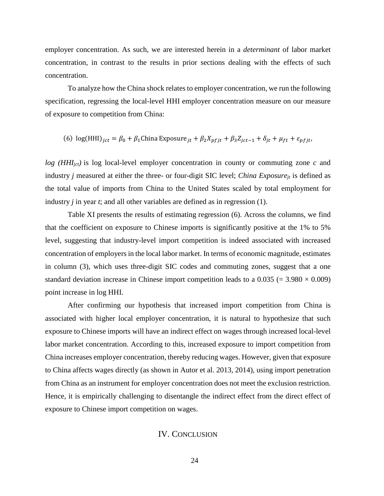employer concentration. As such, we are interested herein in a *determinant* of labor market concentration, in contrast to the results in prior sections dealing with the effects of such concentration.

To analyze how the China shock relates to employer concentration, we run the following specification, regressing the local-level HHI employer concentration measure on our measure of exposure to competition from China:

(6) 
$$
\log(\text{HHI})_{ict} = \beta_0 + \beta_1 \text{China Exposure}_{jt} + \beta_2 X_{pfjt} + \beta_3 Z_{ict-1} + \delta_{jt} + \mu_{ft} + \varepsilon_{pfjt},
$$

*log (HHIjct)* is log local-level employer concentration in county or commuting zone *c* and industry *j* measured at either the three- or four-digit SIC level; *China Exposure<sub>it</sub>* is defined as the total value of imports from China to the United States scaled by total employment for industry *j* in year *t*; and all other variables are defined as in regression (1).

Table XI presents the results of estimating regression (6). Across the columns, we find that the coefficient on exposure to Chinese imports is significantly positive at the 1% to 5% level, suggesting that industry-level import competition is indeed associated with increased concentration of employers in the local labor market. In terms of economic magnitude, estimates in column (3), which uses three-digit SIC codes and commuting zones, suggest that a one standard deviation increase in Chinese import competition leads to a 0.035 (=  $3.980 \times 0.009$ ) point increase in log HHI.

After confirming our hypothesis that increased import competition from China is associated with higher local employer concentration, it is natural to hypothesize that such exposure to Chinese imports will have an indirect effect on wages through increased local-level labor market concentration. According to this, increased exposure to import competition from China increases employer concentration, thereby reducing wages. However, given that exposure to China affects wages directly (as shown in Autor et al. 2013, 2014), using import penetration from China as an instrument for employer concentration does not meet the exclusion restriction. Hence, it is empirically challenging to disentangle the indirect effect from the direct effect of exposure to Chinese import competition on wages.

## IV. CONCLUSION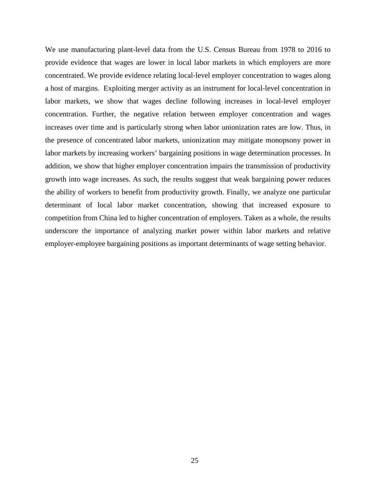We use manufacturing plant-level data from the U.S. Census Bureau from 1978 to 2016 to provide evidence that wages are lower in local labor markets in which employers are more concentrated. We provide evidence relating local-level employer concentration to wages along a host of margins. Exploiting merger activity as an instrument for local-level concentration in labor markets, we show that wages decline following increases in local-level employer concentration. Further, the negative relation between employer concentration and wages increases over time and is particularly strong when labor unionization rates are low. Thus, in the presence of concentrated labor markets, unionization may mitigate monopsony power in labor markets by increasing workers' bargaining positions in wage determination processes. In addition, we show that higher employer concentration impairs the transmission of productivity growth into wage increases. As such, the results suggest that weak bargaining power reduces the ability of workers to benefit from productivity growth. Finally, we analyze one particular determinant of local labor market concentration, showing that increased exposure to competition from China led to higher concentration of employers. Taken as a whole, the results underscore the importance of analyzing market power within labor markets and relative employer-employee bargaining positions as important determinants of wage setting behavior.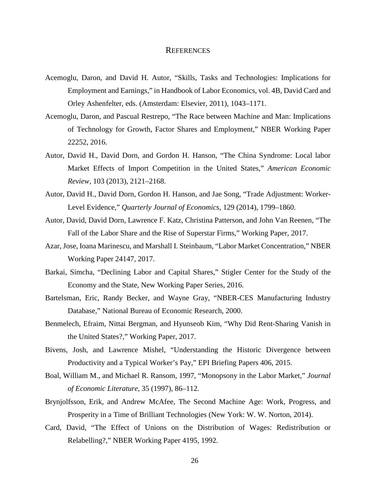#### **REFERENCES**

- Acemoglu, Daron, and David H. Autor, "Skills, Tasks and Technologies: Implications for Employment and Earnings," in Handbook of Labor Economics, vol. 4B, David Card and Orley Ashenfelter, eds. (Amsterdam: Elsevier, 2011), 1043–1171.
- Acemoglu, Daron, and Pascual Restrepo, "The Race between Machine and Man: Implications of Technology for Growth, Factor Shares and Employment," NBER Working Paper 22252, 2016.
- Autor, David H., David Dorn, and Gordon H. Hanson, "The China Syndrome: Local labor Market Effects of Import Competition in the United States," *American Economic Review,* 103 (2013), 2121–2168.
- Autor, David H., David Dorn, Gordon H. Hanson, and Jae Song, "Trade Adjustment: Worker-Level Evidence," *Quarterly Journal of Economics*, 129 (2014), 1799–1860.
- Autor, David, David Dorn, Lawrence F. Katz, Christina Patterson, and John Van Reenen, "The Fall of the Labor Share and the Rise of Superstar Firms," Working Paper, 2017.
- Azar, Jose, Ioana Marinescu, and Marshall I. Steinbaum, "Labor Market Concentration," NBER Working Paper 24147, 2017.
- Barkai, Simcha, "Declining Labor and Capital Shares," Stigler Center for the Study of the Economy and the State, New Working Paper Series, 2016.
- Bartelsman, Eric, Randy Becker, and Wayne Gray, "NBER-CES Manufacturing Industry Database," National Bureau of Economic Research, 2000.
- Benmelech, Efraim, Nittai Bergman, and Hyunseob Kim, "Why Did Rent-Sharing Vanish in the United States?," Working Paper, 2017.
- Bivens, Josh, and Lawrence Mishel, "Understanding the Historic Divergence between Productivity and a Typical Worker's Pay," EPI Briefing Papers 406, 2015.
- Boal, William M., and Michael R. Ransom, 1997, "Monopsony in the Labor Market," *Journal of Economic Literature*, 35 (1997), 86–112.
- Brynjolfsson, Erik, and Andrew McAfee, The Second Machine Age: Work, Progress, and Prosperity in a Time of Brilliant Technologies (New York: W. W. Norton, 2014).
- Card, David, "The Effect of Unions on the Distribution of Wages: Redistribution or Relabelling?," NBER Working Paper 4195, 1992.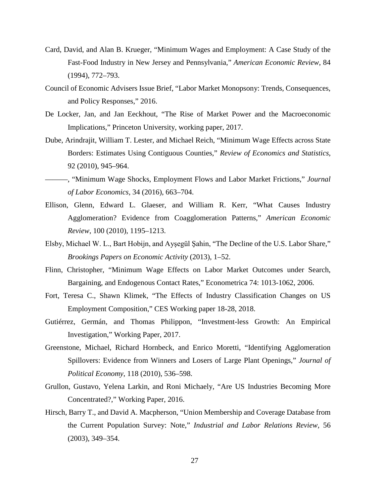- Card, David, and Alan B. Krueger, "Minimum Wages and Employment: A Case Study of the Fast-Food Industry in New Jersey and Pennsylvania," *American Economic Review*, 84 (1994), 772–793.
- Council of Economic Advisers Issue Brief, "Labor Market Monopsony: Trends, Consequences, and Policy Responses," 2016.
- De Locker, Jan, and Jan Eeckhout, "The Rise of Market Power and the Macroeconomic Implications," Princeton University, working paper, 2017.
- Dube, Arindrajit, William T. Lester, and Michael Reich, "Minimum Wage Effects across State Borders: Estimates Using Contiguous Counties," *Review of Economics and Statistics,* 92 (2010), 945–964.
- ———, "Minimum Wage Shocks, Employment Flows and Labor Market Frictions," *Journal of Labor Economics,* 34 (2016), 663–704.
- Ellison, Glenn, Edward L. Glaeser, and William R. Kerr, "What Causes Industry Agglomeration? Evidence from Coagglomeration Patterns," *American Economic Review*, 100 (2010), 1195–1213.
- Elsby, Michael W. L., Bart Hobijn, and Ayşegül Şahin, "The Decline of the U.S. Labor Share," *Brookings Papers on Economic Activity* (2013), 1–52.
- Flinn, Christopher, "Minimum Wage Effects on Labor Market Outcomes under Search, Bargaining, and Endogenous Contact Rates," Econometrica 74: 1013-1062, 2006.
- Fort, Teresa C., Shawn Klimek, "The Effects of Industry Classification Changes on US Employment Composition," CES Working paper 18-28, 2018.
- Gutiérrez, Germán, and Thomas Philippon, "Investment-less Growth: An Empirical Investigation," Working Paper, 2017.
- Greenstone, Michael, Richard Hornbeck, and Enrico Moretti, "Identifying Agglomeration Spillovers: Evidence from Winners and Losers of Large Plant Openings," *Journal of Political Economy*, 118 (2010), 536–598.
- Grullon, Gustavo, Yelena Larkin, and Roni Michaely, "Are US Industries Becoming More Concentrated?," Working Paper, 2016.
- Hirsch, Barry T., and David A. Macpherson, "Union Membership and Coverage Database from the Current Population Survey: Note," *Industrial and Labor Relations Review,* 56 (2003), 349–354.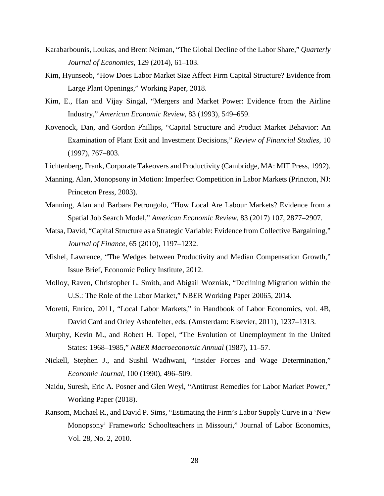- Karabarbounis, Loukas, and Brent Neiman, "The Global Decline of the Labor Share," *Quarterly Journal of Economics,* 129 (2014), 61–103.
- Kim, Hyunseob, "How Does Labor Market Size Affect Firm Capital Structure? Evidence from Large Plant Openings," Working Paper, 2018.
- Kim, E., Han and Vijay Singal, "Mergers and Market Power: Evidence from the Airline Industry," *American Economic Review*, 83 (1993), 549–659.
- Kovenock, Dan, and Gordon Phillips, "Capital Structure and Product Market Behavior: An Examination of Plant Exit and Investment Decisions," *Review of Financial Studies,* 10 (1997), 767–803.
- Lichtenberg, Frank, Corporate Takeovers and Productivity (Cambridge, MA: MIT Press, 1992).
- Manning, Alan, Monopsony in Motion: Imperfect Competition in Labor Markets (Princton, NJ: Princeton Press, 2003).
- Manning, Alan and Barbara Petrongolo, "How Local Are Labour Markets? Evidence from a Spatial Job Search Model," *American Economic Review*, 83 (2017) 107, 2877–2907.
- Matsa, David, "Capital Structure as a Strategic Variable: Evidence from Collective Bargaining," *Journal of Finance,* 65 (2010), 1197–1232.
- Mishel, Lawrence, "The Wedges between Productivity and Median Compensation Growth," Issue Brief, Economic Policy Institute, 2012.
- Molloy, Raven, Christopher L. Smith, and Abigail Wozniak, "Declining Migration within the U.S.: The Role of the Labor Market," NBER Working Paper 20065, 2014.
- Moretti, Enrico, 2011, "Local Labor Markets," in Handbook of Labor Economics, vol. 4B, David Card and Orley Ashenfelter, eds. (Amsterdam: Elsevier, 2011), 1237–1313.
- Murphy, Kevin M., and Robert H. Topel, "The Evolution of Unemployment in the United States: 1968–1985," *NBER Macroeconomic Annual* (1987), 11–57.
- Nickell, Stephen J., and Sushil Wadhwani, "Insider Forces and Wage Determination," *Economic Journal*, 100 (1990), 496–509.
- Naidu, Suresh, Eric A. Posner and Glen Weyl, "Antitrust Remedies for Labor Market Power," Working Paper (2018).
- Ransom, Michael R., and David P. Sims, "Estimating the Firm's Labor Supply Curve in a 'New Monopsony' Framework: Schoolteachers in Missouri," Journal of Labor Economics, Vol. 28, No. 2, 2010.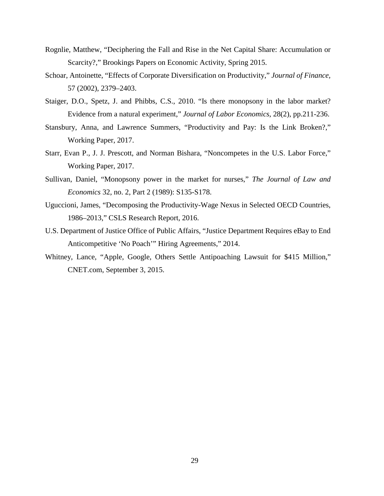- Rognlie, Matthew, "Deciphering the Fall and Rise in the Net Capital Share: Accumulation or Scarcity?," Brookings Papers on Economic Activity, Spring 2015.
- Schoar, Antoinette, "Effects of Corporate Diversification on Productivity," *Journal of Finance,* 57 (2002), 2379–2403.
- Staiger, D.O., Spetz, J. and Phibbs, C.S., 2010. "Is there monopsony in the labor market? Evidence from a natural experiment," *Journal of Labor Economics*, 28(2), pp.211-236.
- Stansbury, Anna, and Lawrence Summers, "Productivity and Pay: Is the Link Broken?," Working Paper, 2017.
- Starr, Evan P., J. J. Prescott, and Norman Bishara, "Noncompetes in the U.S. Labor Force," Working Paper, 2017.
- Sullivan, Daniel, "Monopsony power in the market for nurses," *The Journal of Law and Economics* 32, no. 2, Part 2 (1989): S135-S178.
- Uguccioni, James, "Decomposing the Productivity-Wage Nexus in Selected OECD Countries, 1986–2013," CSLS Research Report, 2016.
- U.S. Department of Justice Office of Public Affairs, "Justice Department Requires eBay to End Anticompetitive 'No Poach'" Hiring Agreements," 2014.
- Whitney, Lance, "Apple, Google, Others Settle Antipoaching Lawsuit for \$415 Million," CNET.com, September 3, 2015.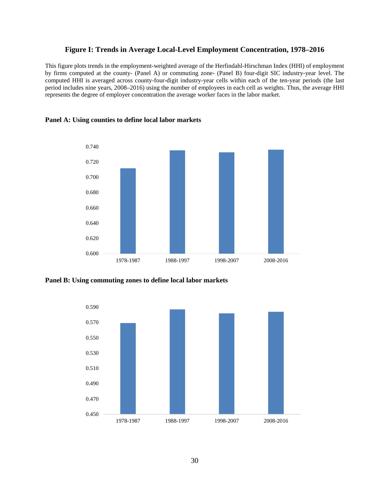#### **Figure I: Trends in Average Local-Level Employment Concentration, 1978–2016**

This figure plots trends in the employment-weighted average of the Herfindahl-Hirschman Index (HHI) of employment by firms computed at the county- (Panel A) or commuting zone- (Panel B) four-digit SIC industry-year level. The computed HHI is averaged across county-four-digit industry-year cells within each of the ten-year periods (the last period includes nine years, 2008–2016) using the number of employees in each cell as weights. Thus, the average HHI represents the degree of employer concentration the average worker faces in the labor market.





**Panel B: Using commuting zones to define local labor markets**

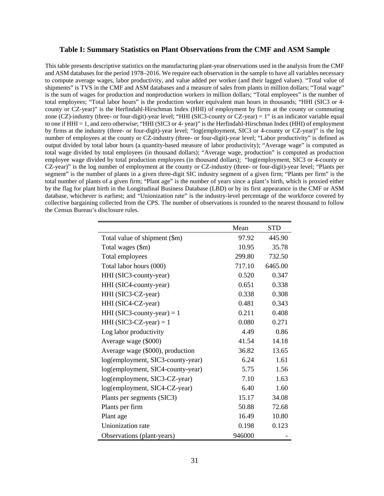#### **Table I: Summary Statistics on Plant Observations from the CMF and ASM Sample**

This table presents descriptive statistics on the manufacturing plant-year observations used in the analysis from the CMF and ASM databases for the period 1978–2016. We require each observation in the sample to have all variables necessary to compute average wages, labor productivity, and value added per worker (and their lagged values). "Total value of shipments" is TVS in the CMF and ASM databases and a measure of sales from plants in million dollars; "Total wage" is the sum of wages for production and nonproduction workers in million dollars; "Total employees" is the number of total employees; "Total labor hours" is the production worker equivalent man hours in thousands; "HHI (SIC3 or 4 county or CZ-year)" is the Herfindahl-Hirschman Index (HHI) of employment by firms at the county or commuting zone (CZ)-industry (three- or four-digit)-year level; "HHI (SIC3-county or CZ-year) = 1" is an indicator variable equal to one if HHI = 1, and zero otherwise; "HHI (SIC3 or 4- year)" is the Herfindahl-Hirschman Index (HHI) of employment by firms at the industry (three- or four-digit)-year level; "log(employment, SIC3 or 4-county or CZ-year)" is the log number of employees at the county or CZ-industry (three- or four-digit)-year level; "Labor productivity" is defined as output divided by total labor hours (a quantity-based measure of labor productivity); "Average wage" is computed as total wage divided by total employees (in thousand dollars); "Average wage, production" is computed as production employee wage divided by total production employees (in thousand dollars); "log(employment, SIC3 or 4-county or CZ-year)" is the log number of employment at the county or CZ-industry (three- or four-digit)-year level; "Plants per segment" is the number of plants in a given three-digit SIC industry segment of a given firm; "Plants per firm" is the total number of plants of a given firm; "Plant age" is the number of years since a plant's birth, which is proxied either by the flag for plant birth in the Longitudinal Business Database (LBD) or by its first appearance in the CMF or ASM database, whichever is earliest; and "Unionization rate" is the industry-level percentage of the workforce covered by collective bargaining collected from the CPS. The number of observations is rounded to the nearest thousand to follow the Census Bureau's disclosure rules.

|                                   | Mean   | <b>STD</b> |
|-----------------------------------|--------|------------|
| Total value of shipment (\$m)     | 97.92  | 445.90     |
| Total wages (\$m)                 | 10.95  | 35.78      |
| Total employees                   | 299.80 | 732.50     |
| Total labor hours (000)           | 717.10 | 6465.00    |
| HHI (SIC3-county-year)            | 0.520  | 0.347      |
| HHI (SIC4-county-year)            | 0.651  | 0.338      |
| HHI (SIC3-CZ-year)                | 0.338  | 0.308      |
| HHI (SIC4-CZ-year)                | 0.481  | 0.343      |
| HHI (SIC3-county-year) = $1$      | 0.211  | 0.408      |
| HHI (SIC3-CZ-year) = $1$          | 0.080  | 0.271      |
| Log labor productivity            | 4.49   | 0.86       |
| Average wage (\$000)              | 41.54  | 14.18      |
| Average wage (\$000), production  | 36.82  | 13.65      |
| log(employment, SIC3-county-year) | 6.24   | 1.61       |
| log(employment, SIC4-county-year) | 5.75   | 1.56       |
| log(employment, SIC3-CZ-year)     | 7.10   | 1.63       |
| log(employment, SIC4-CZ-year)     | 6.40   | 1.60       |
| Plants per segments (SIC3)        | 15.17  | 34.08      |
| Plants per firm                   | 50.88  | 72.68      |
| Plant age                         | 16.49  | 10.80      |
| Unionization rate                 | 0.198  | 0.123      |
| Observations (plant-years)        | 946000 |            |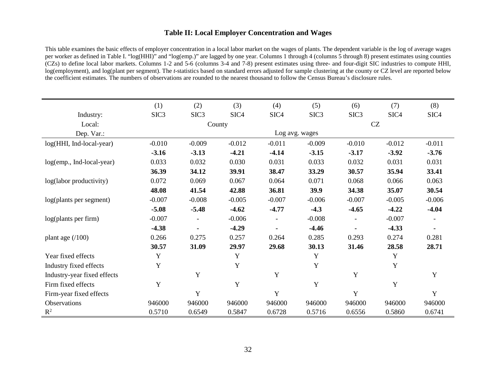## **Table II: Local Employer Concentration and Wages**

This table examines the basic effects of employer concentration in a local labor market on the wages of plants. The dependent variable is the log of average wages per worker as defined in Table I. "log(HHI)" and "log(emp.)" are lagged by one year. Columns 1 through 4 (columns 5 through 8) present estimates using counties (CZs) to define local labor markets. Columns 1-2 and 5-6 (columns 3-4 and 7-8) present estimates using three- and four-digit SIC industries to compute HHI, log(employment), and log(plant per segment). The *t*-statistics based on standard errors adjusted for sample clustering at the county or CZ level are reported below the coefficient estimates. The numbers of observations are rounded to the nearest thousand to follow the Census Bureau's disclosure rules.

|                             | (1)              | (2)              | (3)              | (4)                      | (5)              | (6)              | (7)              | (8)              |
|-----------------------------|------------------|------------------|------------------|--------------------------|------------------|------------------|------------------|------------------|
| Industry:                   | SIC <sub>3</sub> | SIC <sub>3</sub> | SIC <sub>4</sub> | SIC <sub>4</sub>         | SIC <sub>3</sub> | SIC <sub>3</sub> | SIC <sub>4</sub> | SIC <sub>4</sub> |
| Local:                      |                  | County           |                  |                          |                  |                  | CZ               |                  |
| Dep. Var.:                  |                  |                  |                  |                          | Log avg. wages   |                  |                  |                  |
| log(HHI, Ind-local-year)    | $-0.010$         | $-0.009$         | $-0.012$         | $-0.011$                 | $-0.009$         | $-0.010$         | $-0.012$         | $-0.011$         |
|                             | $-3.16$          | $-3.13$          | $-4.21$          | $-4.14$                  | $-3.15$          | $-3.17$          | $-3.92$          | $-3.76$          |
| $log(emp., Ind-local-year)$ | 0.033            | 0.032            | 0.030            | 0.031                    | 0.033            | 0.032            | 0.031            | 0.031            |
|                             | 36.39            | 34.12            | 39.91            | 38.47                    | 33.29            | 30.57            | 35.94            | 33.41            |
| log(labor productivity)     | 0.072            | 0.069            | 0.067            | 0.064                    | 0.071            | 0.068            | 0.066            | 0.063            |
|                             | 48.08            | 41.54            | 42.88            | 36.81                    | 39.9             | 34.38            | 35.07            | 30.54            |
| log(plants per segment)     | $-0.007$         | $-0.008$         | $-0.005$         | $-0.007$                 | $-0.006$         | $-0.007$         | $-0.005$         | $-0.006$         |
|                             | $-5.08$          | $-5.48$          | $-4.62$          | $-4.77$                  | $-4.3$           | $-4.65$          | $-4.22$          | $-4.04$          |
| log(plants per firm)        | $-0.007$         |                  | $-0.006$         | $\overline{\phantom{a}}$ | $-0.008$         |                  | $-0.007$         |                  |
|                             | $-4.38$          |                  | $-4.29$          |                          | $-4.46$          |                  | $-4.33$          |                  |
| plant age $(100)$           | 0.266            | 0.275            | 0.257            | 0.264                    | 0.285            | 0.293            | 0.274            | 0.281            |
|                             | 30.57            | 31.09            | 29.97            | 29.68                    | 30.13            | 31.46            | 28.58            | 28.71            |
| Year fixed effects          | Y                |                  | Y                |                          | $\mathbf Y$      |                  | $\mathbf Y$      |                  |
| Industry fixed effects      | Y                |                  | Y                |                          | Y                |                  | $\mathbf Y$      |                  |
| Industry-year fixed effects |                  | Y                |                  | Y                        |                  | Y                |                  | Y                |
| Firm fixed effects          | $\mathbf Y$      |                  | $\mathbf Y$      |                          | $\mathbf Y$      |                  | $\mathbf Y$      |                  |
| Firm-year fixed effects     |                  | Y                |                  | Y                        |                  | Y                |                  | Y                |
| Observations                | 946000           | 946000           | 946000           | 946000                   | 946000           | 946000           | 946000           | 946000           |
| $R^2$                       | 0.5710           | 0.6549           | 0.5847           | 0.6728                   | 0.5716           | 0.6556           | 0.5860           | 0.6741           |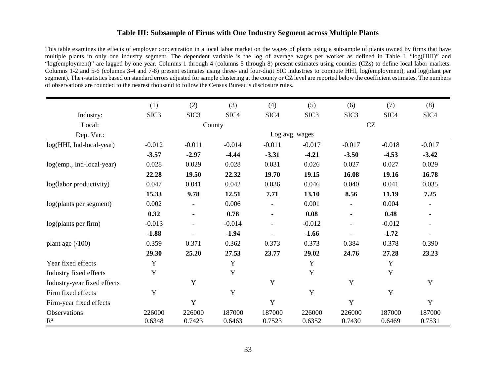#### **Table III: Subsample of Firms with One Industry Segment across Multiple Plants**

This table examines the effects of employer concentration in a local labor market on the wages of plants using a subsample of plants owned by firms that have multiple plants in only one industry segment. The dependent variable is the log of average wages per worker as defined in Table I. "log(HHI)" and "log(employment)" are lagged by one year. Columns 1 through 4 (columns 5 through 8) present estimates using counties (CZs) to define local labor markets. Columns 1-2 and 5-6 (columns 3-4 and 7-8) present estimates using three- and four-digit SIC industries to compute HHI, log(employment), and log(plant per segment). The *t*-statistics based on standard errors adjusted for sample clustering at the county or CZ level are reported below the coefficient estimates. The numbers of observations are rounded to the nearest thousand to follow the Census Bureau's disclosure rules.

|                             | (1)              | (2)                      | (3)              | (4)                      | (5)              | (6)                      | (7)              | (8)              |
|-----------------------------|------------------|--------------------------|------------------|--------------------------|------------------|--------------------------|------------------|------------------|
| Industry:                   | SIC <sub>3</sub> | SIC <sub>3</sub>         | SIC <sub>4</sub> | SIC <sub>4</sub>         | SIC <sub>3</sub> | SIC <sub>3</sub>         | SIC <sub>4</sub> | SIC <sub>4</sub> |
| Local:                      |                  | County                   |                  |                          |                  |                          | CZ               |                  |
| Dep. Var.:                  |                  |                          |                  |                          | Log avg. wages   |                          |                  |                  |
| log(HHI, Ind-local-year)    | $-0.012$         | $-0.011$                 | $-0.014$         | $-0.011$                 | $-0.017$         | $-0.017$                 | $-0.018$         | $-0.017$         |
|                             | $-3.57$          | $-2.97$                  | $-4.44$          | $-3.31$                  | $-4.21$          | $-3.50$                  | $-4.53$          | $-3.42$          |
| log(emp., Ind-local-year)   | 0.028            | 0.029                    | 0.028            | 0.031                    | 0.026            | 0.027                    | 0.027            | 0.029            |
|                             | 22.28            | 19.50                    | 22.32            | 19.70                    | 19.15            | 16.08                    | 19.16            | 16.78            |
| log(labor productivity)     | 0.047            | 0.041                    | 0.042            | 0.036                    | 0.046            | 0.040                    | 0.041            | 0.035            |
|                             | 15.33            | 9.78                     | 12.51            | 7.71                     | 13.10            | 8.56                     | 11.19            | 7.25             |
| log(plants per segment)     | 0.002            | $\overline{\phantom{0}}$ | 0.006            |                          | 0.001            |                          | 0.004            |                  |
|                             | 0.32             | $\blacksquare$           | 0.78             | ٠                        | 0.08             | $\blacksquare$           | 0.48             |                  |
| log(plants per firm)        | $-0.013$         | $\overline{\phantom{a}}$ | $-0.014$         | $\overline{\phantom{a}}$ | $-0.012$         | $\overline{\phantom{a}}$ | $-0.012$         |                  |
|                             | $-1.88$          |                          | $-1.94$          |                          | $-1.66$          |                          | $-1.72$          |                  |
| plant age $(100)$           | 0.359            | 0.371                    | 0.362            | 0.373                    | 0.373            | 0.384                    | 0.378            | 0.390            |
|                             | 29.30            | 25.20                    | 27.53            | 23.77                    | 29.02            | 24.76                    | 27.28            | 23.23            |
| Year fixed effects          | Y                |                          | Y                |                          | Y                |                          | Y                |                  |
| Industry fixed effects      | Y                |                          | $\mathbf Y$      |                          | $\mathbf Y$      |                          | $\mathbf Y$      |                  |
| Industry-year fixed effects |                  | Y                        |                  | Y                        |                  | Y                        |                  | $\mathbf Y$      |
| Firm fixed effects          | $\mathbf Y$      |                          | Y                |                          | $\mathbf Y$      |                          | Y                |                  |
| Firm-year fixed effects     |                  | Y                        |                  | $\mathbf Y$              |                  | Y                        |                  | Y                |
| Observations                | 226000           | 226000                   | 187000           | 187000                   | 226000           | 226000                   | 187000           | 187000           |
| $R^2$                       | 0.6348           | 0.7423                   | 0.6463           | 0.7523                   | 0.6352           | 0.7430                   | 0.6469           | 0.7531           |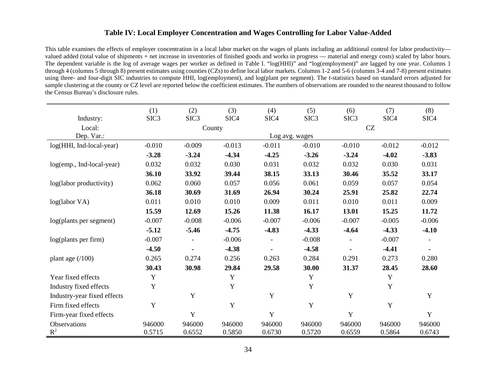## **Table IV: Local Employer Concentration and Wages Controlling for Labor Value-Added**

This table examines the effects of employer concentration in a local labor market on the wages of plants including an additional control for labor productivity valued added (total value of shipments + net increase in inventories of finished goods and works in progress — material and energy costs) scaled by labor hours. The dependent variable is the log of average wages per worker as defined in Table I. "log(HHI)" and "log(employment)" are lagged by one year. Columns 1 through 4 (columns 5 through 8) present estimates using counties (CZs) to define local labor markets. Columns 1-2 and 5-6 (columns 3-4 and 7-8) present estimates using three- and four-digit SIC industries to compute HHI, log(employment), and log(plant per segment). The *t*-statistics based on standard errors adjusted for sample clustering at the county or CZ level are reported below the coefficient estimates. The numbers of observations are rounded to the nearest thousand to follow the Census Bureau's disclosure rules.

|                             | (1)              | (2)              | (3)              | (4)              | (5)              | (6)                      | (7)              | (8)              |
|-----------------------------|------------------|------------------|------------------|------------------|------------------|--------------------------|------------------|------------------|
| Industry:                   | SIC <sub>3</sub> | SIC <sub>3</sub> | SIC <sub>4</sub> | SIC <sub>4</sub> | SIC <sub>3</sub> | SIC <sub>3</sub>         | SIC <sub>4</sub> | SIC <sub>4</sub> |
| Local:                      |                  | County           |                  |                  |                  |                          | CZ               |                  |
| Dep. Var.:                  |                  |                  |                  | Log avg. wages   |                  |                          |                  |                  |
| log(HHI, Ind-local-year)    | $-0.010$         | $-0.009$         | $-0.013$         | $-0.011$         | $-0.010$         | $-0.010$                 | $-0.012$         | $-0.012$         |
|                             | $-3.28$          | $-3.24$          | $-4.34$          | $-4.25$          | $-3.26$          | $-3.24$                  | $-4.02$          | $-3.83$          |
| log(emp., Ind-local-year)   | 0.032            | 0.032            | 0.030            | 0.031            | 0.032            | 0.032                    | 0.030            | 0.031            |
|                             | 36.10            | 33.92            | 39.44            | 38.15            | 33.13            | 30.46                    | 35.52            | 33.17            |
| log(labor productivity)     | 0.062            | 0.060            | 0.057            | 0.056            | 0.061            | 0.059                    | 0.057            | 0.054            |
|                             | 36.18            | 30.69            | 31.69            | 26.94            | 30.24            | 25.91                    | 25.82            | 22.74            |
| log(labor VA)               | 0.011            | 0.010            | 0.010            | 0.009            | 0.011            | 0.010                    | 0.011            | 0.009            |
|                             | 15.59            | 12.69            | 15.26            | 11.38            | 16.17            | 13.01                    | 15.25            | 11.72            |
| log(plants per segment)     | $-0.007$         | $-0.008$         | $-0.006$         | $-0.007$         | $-0.006$         | $-0.007$                 | $-0.005$         | $-0.006$         |
|                             | $-5.12$          | $-5.46$          | $-4.75$          | $-4.83$          | $-4.33$          | $-4.64$                  | $-4.33$          | $-4.10$          |
| log(plants per firm)        | $-0.007$         |                  | $-0.006$         |                  | $-0.008$         | $\overline{\phantom{a}}$ | $-0.007$         |                  |
|                             | $-4.50$          |                  | $-4.38$          |                  | $-4.58$          | ۰                        | $-4.41$          | ٠                |
| plant age $(100)$           | 0.265            | 0.274            | 0.256            | 0.263            | 0.284            | 0.291                    | 0.273            | 0.280            |
|                             | 30.43            | 30.98            | 29.84            | 29.58            | 30.00            | 31.37                    | 28.45            | 28.60            |
| Year fixed effects          | Y                |                  | Y                |                  | Y                |                          | Y                |                  |
| Industry fixed effects      | $\mathbf Y$      |                  | Y                |                  | Y                |                          | Y                |                  |
| Industry-year fixed effects |                  | Y                |                  | Y                |                  | Y                        |                  | Y                |
| Firm fixed effects          | Y                |                  | Y                |                  | Y                |                          | Y                |                  |
| Firm-year fixed effects     |                  | Y                |                  | Y                |                  | Y                        |                  | Y                |
| Observations                | 946000           | 946000           | 946000           | 946000           | 946000           | 946000                   | 946000           | 946000           |
| $R^2$                       | 0.5715           | 0.6552           | 0.5850           | 0.6730           | 0.5720           | 0.6559                   | 0.5864           | 0.6743           |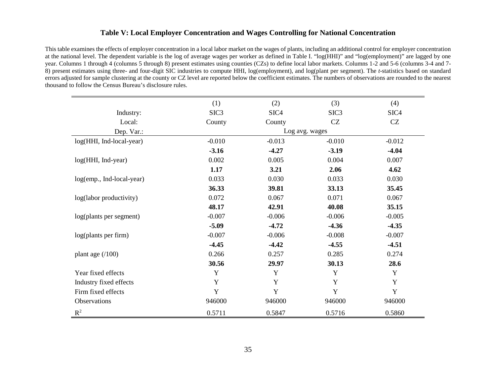## **Table V: Local Employer Concentration and Wages Controlling for National Concentration**

This table examines the effects of employer concentration in a local labor market on the wages of plants, including an additional control for employer concentration at the national level. The dependent variable is the log of average wages per worker as defined in Table I. "log(HHI)" and "log(employment)" are lagged by one year. Columns 1 through 4 (columns 5 through 8) present estimates using counties (CZs) to define local labor markets. Columns 1-2 and 5-6 (columns 3-4 and 7- 8) present estimates using three- and four-digit SIC industries to compute HHI, log(employment), and log(plant per segment). The *t*-statistics based on standard errors adjusted for sample clustering at the county or CZ level are reported below the coefficient estimates. The numbers of observations are rounded to the nearest thousand to follow the Census Bureau's disclosure rules.

|                           | (1)              | (2)              | (3)              | (4)              |
|---------------------------|------------------|------------------|------------------|------------------|
| Industry:                 | SIC <sub>3</sub> | SIC <sub>4</sub> | SIC <sub>3</sub> | SIC <sub>4</sub> |
| Local:                    | County           | County           | CZ               | CZ               |
| Dep. Var.:                |                  |                  | Log avg. wages   |                  |
| log(HHI, Ind-local-year)  | $-0.010$         | $-0.013$         | $-0.010$         | $-0.012$         |
|                           | $-3.16$          | $-4.27$          | $-3.19$          | $-4.04$          |
| log(HHI, Ind-year)        | 0.002            | 0.005            | 0.004            | 0.007            |
|                           | 1.17             | 3.21             | 2.06             | 4.62             |
| log(emp., Ind-local-year) | 0.033            | 0.030            | 0.033            | 0.030            |
|                           | 36.33            | 39.81            | 33.13            | 35.45            |
| log(labor productivity)   | 0.072            | 0.067            | 0.071            | 0.067            |
|                           | 48.17            | 42.91            | 40.08            | 35.15            |
| log(plants per segment)   | $-0.007$         | $-0.006$         | $-0.006$         | $-0.005$         |
|                           | $-5.09$          | $-4.72$          | $-4.36$          | $-4.35$          |
| log(plants per firm)      | $-0.007$         | $-0.006$         | $-0.008$         | $-0.007$         |
|                           | $-4.45$          | $-4.42$          | $-4.55$          | $-4.51$          |
| plant age $(100)$         | 0.266            | 0.257            | 0.285            | 0.274            |
|                           | 30.56            | 29.97            | 30.13            | 28.6             |
| Year fixed effects        | Y                | Y                | Y                | Y                |
| Industry fixed effects    | Y                | Y                | Y                | Y                |
| Firm fixed effects        | Y                | Y                | Y                | Y                |
| Observations              | 946000           | 946000           | 946000           | 946000           |
| $\mathbb{R}^2$            | 0.5711           | 0.5847           | 0.5716           | 0.5860           |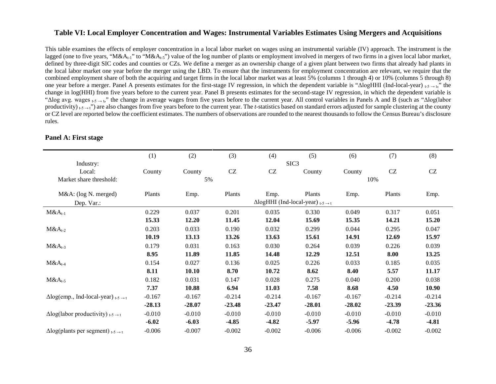#### **Table VI: Local Employer Concentration and Wages: Instrumental Variables Estimates Using Mergers and Acquisitions**

This table examines the effects of employer concentration in a local labor market on wages using an instrumental variable (IV) approach. The instrument is the lagged (one to five years, " $M\&A_{t-1}$ " to " $M\&A_{t-5}$ ") value of the log number of plants or employment involved in mergers of two firms in a given local labor market, defined by three-digit SIC codes and counties or CZs. We define a merger as an ownership change of a given plant between two firms that already had plants in the local labor market one year before the merger using the LBD. To ensure that the instruments for employment concentration are relevant, we require that the combined employment share of both the acquiring and target firms in the local labor market was at least 5% (columns 1 through 4) or 10% (columns 5 through 8) one year before a merger. Panel A presents estimates for the first-stage IV regression, in which the dependent variable is " $\Delta$ logHHI (Ind-local-year) t-5  $\rightarrow$  t," the change in log(HHI) from five years before to the current year. Panel B presents estimates for the second-stage IV regression, in which the dependent variable is "Δlog avg. wages  $_{t=5 \rightarrow t}$ " the change in average wages from five years before to the current year. All control variables in Panels A and B (such as "Δlog(labor productivity)  $t_5 \rightarrow t''$  are also changes from five years before to the current year. The *t*-statistics based on standard errors adjusted for sample clustering at the county or CZ level are reported below the coefficient estimates. The numbers of observations are rounded to the nearest thousands to follow the Census Bureau's disclosure rules.

|                                                        | (1)      | (2)      | (3)                                                     | (4)      | (5)              | (6)      | (7)                 | (8)      |
|--------------------------------------------------------|----------|----------|---------------------------------------------------------|----------|------------------|----------|---------------------|----------|
| Industry:                                              |          |          |                                                         |          | SIC <sub>3</sub> |          |                     |          |
| Local:                                                 | County   | County   | CZ                                                      | CZ       | County           | County   | $\operatorname{CZ}$ | CZ       |
| Market share threshold:                                |          | 5%       |                                                         |          |                  |          | 10%                 |          |
| M&A: (log N. merged)                                   | Plants   | Emp.     | Plants                                                  | Emp.     | Plants           | Emp.     | Plants              | Emp.     |
| Dep. Var.:                                             |          |          | $\triangle$ logHHI (Ind-local-year) t-5 $\rightarrow$ t |          |                  |          |                     |          |
| $M&A_{t-1}$                                            | 0.229    | 0.037    | 0.201                                                   | 0.035    | 0.330            | 0.049    | 0.317               | 0.051    |
|                                                        | 15.33    | 12.20    | 11.45                                                   | 12.04    | 15.69            | 15.35    | 14.21               | 15.20    |
| $M&A_{t-2}$                                            | 0.203    | 0.033    | 0.190                                                   | 0.032    | 0.299            | 0.044    | 0.295               | 0.047    |
|                                                        | 10.19    | 13.13    | 13.26                                                   | 13.63    | 15.61            | 14.91    | 12.69               | 15.97    |
| $M&A_{t-3}$                                            | 0.179    | 0.031    | 0.163                                                   | 0.030    | 0.264            | 0.039    | 0.226               | 0.039    |
|                                                        | 8.95     | 11.89    | 11.85                                                   | 14.48    | 12.29            | 12.51    | 8.00                | 13.25    |
| $M&A_{t-4}$                                            | 0.154    | 0.027    | 0.136                                                   | 0.025    | 0.226            | 0.033    | 0.185               | 0.035    |
|                                                        | 8.11     | 10.10    | 8.70                                                    | 10.72    | 8.62             | 8.40     | 5.57                | 11.17    |
| $M&A_{t-5}$                                            | 0.182    | 0.031    | 0.147                                                   | 0.028    | 0.275            | 0.040    | 0.200               | 0.038    |
|                                                        | 7.37     | 10.88    | 6.94                                                    | 11.03    | 7.58             | 8.68     | 4.50                | 10.90    |
| $\Delta$ log(emp., Ind-local-year) t-5 $\rightarrow$ t | $-0.167$ | $-0.167$ | $-0.214$                                                | $-0.214$ | $-0.167$         | $-0.167$ | $-0.214$            | $-0.214$ |
|                                                        | $-28.13$ | $-28.07$ | $-23.48$                                                | $-23.47$ | $-28.01$         | $-28.02$ | $-23.39$            | $-23.36$ |
| $\Delta$ log(labor productivity) t-5 $\rightarrow$ t   | $-0.010$ | $-0.010$ | $-0.010$                                                | $-0.010$ | $-0.010$         | $-0.010$ | $-0.010$            | $-0.010$ |
|                                                        | $-6.02$  | $-6.03$  | $-4.85$                                                 | $-4.82$  | $-5.97$          | $-5.96$  | $-4.78$             | $-4.81$  |
| $\Delta$ log(plants per segment) t-5 $\rightarrow$ t   | $-0.006$ | $-0.007$ | $-0.002$                                                | $-0.002$ | $-0.006$         | $-0.006$ | $-0.002$            | $-0.002$ |

#### **Panel A: First stage**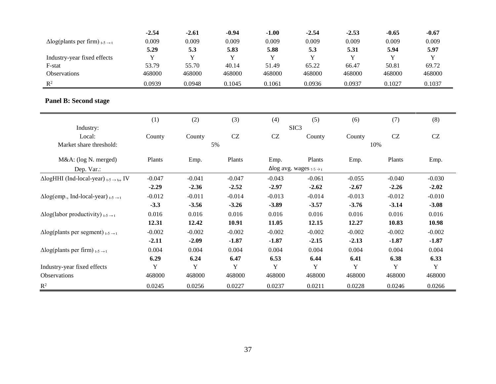|                                                   | $-2.54$ | $-2.61$ | $-0.94$ | $-1.00$ | $-2.54$ | $-2.53$ | $-0.65$ | $-0.67$ |
|---------------------------------------------------|---------|---------|---------|---------|---------|---------|---------|---------|
| $\Delta$ log(plants per firm) t-5 $\rightarrow$ t | 0.009   | 0.009   | 0.009   | 0.009   | 0.009   | 0.009   | 0.009   | 0.009   |
|                                                   | 5.29    | 5.3     | 5.83    | 5.88    | 5.3     | 5.31    | 5.94    | 5.97    |
| Industry-year fixed effects                       |         |         |         |         |         |         |         |         |
| F-stat                                            | 53.79   | 55.70   | 40.14   | 51.49   | 65.22   | 66.47   | 50.81   | 69.72   |
| <b>Observations</b>                               | 468000  | 468000  | 468000  | 468000  | 468000  | 468000  | 468000  | 468000  |
| $\mathbb{R}^2$                                    | 0.0939  | 0.0948  | 0.1045  | 0.1061  | 0.0936  | 0.0937  | 0.1027  | 0.1037  |

# **Panel B: Second stage**

|                                                                 | (1)      | (2)      | (3)      | (4)      | (5)                                         | (6)      | (7)      | (8)      |
|-----------------------------------------------------------------|----------|----------|----------|----------|---------------------------------------------|----------|----------|----------|
| Industry:                                                       |          |          |          |          | SIC <sub>3</sub>                            |          |          |          |
| Local:                                                          | County   | County   | CZ       | CZ       | County                                      | County   | CZ       | CZ       |
| Market share threshold:                                         |          |          | 5%       |          |                                             |          | 10%      |          |
| M&A: (log N. merged)                                            | Plants   | Emp.     | Plants   | Emp.     | Plants                                      | Emp.     | Plants   | Emp.     |
| Dep. Var.:                                                      |          |          |          |          | $\Delta$ log avg. wages t-5 $\rightarrow$ t |          |          |          |
| $\triangle$ logHHI (Ind-local-year) $_{t-5 \rightarrow t}$ , IV | $-0.047$ | $-0.041$ | $-0.047$ | $-0.043$ | $-0.061$                                    | $-0.055$ | $-0.040$ | $-0.030$ |
|                                                                 | $-2.29$  | $-2.36$  | $-2.52$  | $-2.97$  | $-2.62$                                     | $-2.67$  | $-2.26$  | $-2.02$  |
| $\Delta$ log(emp., Ind-local-year) t-5 $\rightarrow$ t          | $-0.012$ | $-0.011$ | $-0.014$ | $-0.013$ | $-0.014$                                    | $-0.013$ | $-0.012$ | $-0.010$ |
|                                                                 | $-3.3$   | $-3.56$  | $-3.26$  | $-3.89$  | $-3.57$                                     | $-3.76$  | $-3.14$  | $-3.08$  |
| $\Delta$ log(labor productivity) t-5 $\rightarrow$ t            | 0.016    | 0.016    | 0.016    | 0.016    | 0.016                                       | 0.016    | 0.016    | 0.016    |
|                                                                 | 12.31    | 12.42    | 10.91    | 11.05    | 12.15                                       | 12.27    | 10.83    | 10.98    |
| $\Delta$ log(plants per segment) t-5 $\rightarrow$ t            | $-0.002$ | $-0.002$ | $-0.002$ | $-0.002$ | $-0.002$                                    | $-0.002$ | $-0.002$ | $-0.002$ |
|                                                                 | $-2.11$  | $-2.09$  | $-1.87$  | $-1.87$  | $-2.15$                                     | $-2.13$  | $-1.87$  | $-1.87$  |
| $\Delta$ log(plants per firm) t-5 $\rightarrow$ t               | 0.004    | 0.004    | 0.004    | 0.004    | 0.004                                       | 0.004    | 0.004    | 0.004    |
|                                                                 | 6.29     | 6.24     | 6.47     | 6.53     | 6.44                                        | 6.41     | 6.38     | 6.33     |
| Industry-year fixed effects                                     | Y        | Y        | Y        | Y        | Y                                           | Y        | Y        | Y        |
| <b>Observations</b>                                             | 468000   | 468000   | 468000   | 468000   | 468000                                      | 468000   | 468000   | 468000   |
| $\mathbb{R}^2$                                                  | 0.0245   | 0.0256   | 0.0227   | 0.0237   | 0.0211                                      | 0.0228   | 0.0246   | 0.0266   |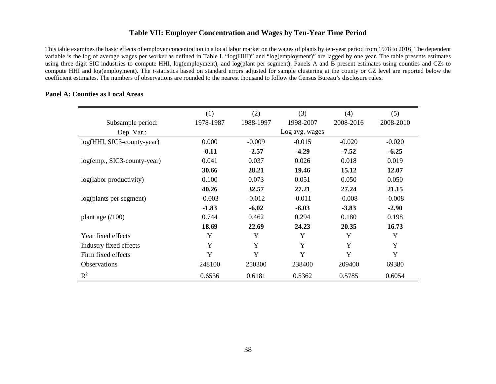### **Table VII: Employer Concentration and Wages by Ten-Year Time Period**

This table examines the basic effects of employer concentration in a local labor market on the wages of plants by ten-year period from 1978 to 2016. The dependent variable is the log of average wages per worker as defined in Table I. "log(HHI)" and "log(employment)" are lagged by one year. The table presents estimates using three-digit SIC industries to compute HHI, log(employment), and log(plant per segment). Panels A and B present estimates using counties and CZs to compute HHI and log(employment). The *t*-statistics based on standard errors adjusted for sample clustering at the county or CZ level are reported below the coefficient estimates. The numbers of observations are rounded to the nearest thousand to follow the Census Bureau's disclosure rules.

|                             | (1)       | (2)       | (3)            | (4)       | (5)       |
|-----------------------------|-----------|-----------|----------------|-----------|-----------|
| Subsample period:           | 1978-1987 | 1988-1997 | 1998-2007      | 2008-2016 | 2008-2010 |
| Dep. Var.:                  |           |           | Log avg. wages |           |           |
| log(HHI, SIC3-county-year)  | 0.000     | $-0.009$  | $-0.015$       | $-0.020$  | $-0.020$  |
|                             | $-0.11$   | $-2.57$   | $-4.29$        | $-7.52$   | $-6.25$   |
| log(emp., SIC3-county-year) | 0.041     | 0.037     | 0.026          | 0.018     | 0.019     |
|                             | 30.66     | 28.21     | 19.46          | 15.12     | 12.07     |
| log(labor productivity)     | 0.100     | 0.073     | 0.051          | 0.050     | 0.050     |
|                             | 40.26     | 32.57     | 27.21          | 27.24     | 21.15     |
| log(plants per segment)     | $-0.003$  | $-0.012$  | $-0.011$       | $-0.008$  | $-0.008$  |
|                             | $-1.83$   | $-6.02$   | $-6.03$        | $-3.83$   | $-2.90$   |
| plant age $(100)$           | 0.744     | 0.462     | 0.294          | 0.180     | 0.198     |
|                             | 18.69     | 22.69     | 24.23          | 20.35     | 16.73     |
| Year fixed effects          | Y         | Y         | Y              | Y         | Y         |
| Industry fixed effects      | Y         | Y         | Y              | Y         | Y         |
| Firm fixed effects          | Y         | Y         | Y              | Y         | Y         |
| <b>Observations</b>         | 248100    | 250300    | 238400         | 209400    | 69380     |
| $\mathbb{R}^2$              | 0.6536    | 0.6181    | 0.5362         | 0.5785    | 0.6054    |

#### **Panel A: Counties as Local Areas**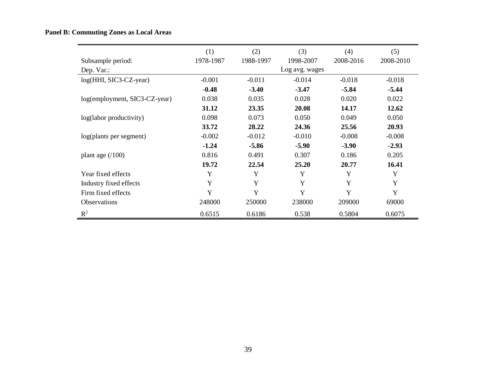|                               | (1)       | (2)       | (3)            | (4)       | (5)       |
|-------------------------------|-----------|-----------|----------------|-----------|-----------|
| Subsample period:             | 1978-1987 | 1988-1997 | 1998-2007      | 2008-2016 | 2008-2010 |
| Dep. Var.:                    |           |           | Log avg. wages |           |           |
| $log(HHI, SIC3-CZ-year)$      | $-0.001$  | $-0.011$  | $-0.014$       | $-0.018$  | $-0.018$  |
|                               | $-0.48$   | $-3.40$   | $-3.47$        | $-5.84$   | $-5.44$   |
| log(employment, SIC3-CZ-year) | 0.038     | 0.035     | 0.028          | 0.020     | 0.022     |
|                               | 31.12     | 23.35     | 20.08          | 14.17     | 12.62     |
| log(labor productivity)       | 0.098     | 0.073     | 0.050          | 0.049     | 0.050     |
|                               | 33.72     | 28.22     | 24.36          | 25.56     | 20.93     |
| log(plants per segment)       | $-0.002$  | $-0.012$  | $-0.010$       | $-0.008$  | $-0.008$  |
|                               | $-1.24$   | $-5.86$   | $-5.90$        | $-3.90$   | $-2.93$   |
| plant age $(100)$             | 0.816     | 0.491     | 0.307          | 0.186     | 0.205     |
|                               | 19.72     | 22.54     | 25.20          | 20.77     | 16.41     |
| Year fixed effects            | Y         | Y         | Y              | Y         | Y         |
| Industry fixed effects        | Y         | Y         | Y              | Y         | Y         |
| Firm fixed effects            | Y         | Y         | Y              | Y         | Y         |
| Observations                  | 248000    | 250000    | 238000         | 209000    | 69000     |
| $R^2$                         | 0.6515    | 0.6186    | 0.538          | 0.5804    | 0.6075    |

## **Panel B: Commuting Zones as Local Areas**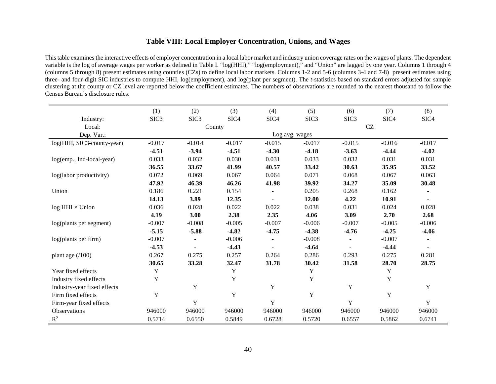## **Table VIII: Local Employer Concentration, Unions, and Wages**

This table examines the interactive effects of employer concentration in a local labor market and industry union coverage rates on the wages of plants. The dependent variable is the log of average wages per worker as defined in Table I. "log(HHI)," "log(employment)," and "Union" are lagged by one year. Columns 1 through 4 (columns 5 through 8) present estimates using counties (CZs) to define local labor markets. Columns 1-2 and 5-6 (columns 3-4 and 7-8) present estimates using three- and four-digit SIC industries to compute HHI, log(employment), and log(plant per segment). The *t*-statistics based on standard errors adjusted for sample clustering at the county or CZ level are reported below the coefficient estimates. The numbers of observations are rounded to the nearest thousand to follow the Census Bureau's disclosure rules.

|                             | (1)              | (2)              | (3)              | (4)              | (5)              | (6)              | (7)              | (8)              |
|-----------------------------|------------------|------------------|------------------|------------------|------------------|------------------|------------------|------------------|
| Industry:                   | SIC <sub>3</sub> | SIC <sub>3</sub> | SIC <sub>4</sub> | SIC <sub>4</sub> | SIC <sub>3</sub> | SIC <sub>3</sub> | SIC <sub>4</sub> | SIC <sub>4</sub> |
| Local:                      |                  | County           |                  |                  |                  |                  | CZ               |                  |
| Dep. Var.:                  |                  |                  |                  |                  | Log avg. wages   |                  |                  |                  |
| log(HHI, SIC3-county-year)  | $-0.017$         | $-0.014$         | $-0.017$         | $-0.015$         | $-0.017$         | $-0.015$         | $-0.016$         | $-0.017$         |
|                             | $-4.51$          | $-3.94$          | $-4.51$          | $-4.30$          | $-4.18$          | $-3.63$          | $-4.44$          | $-4.02$          |
| $log(emp., Ind-local-year)$ | 0.033            | 0.032            | 0.030            | 0.031            | 0.033            | 0.032            | 0.031            | 0.031            |
|                             | 36.55            | 33.67            | 41.99            | 40.57            | 33.42            | 30.63            | 35.95            | 33.52            |
| log(labor productivity)     | 0.072            | 0.069            | 0.067            | 0.064            | 0.071            | 0.068            | 0.067            | 0.063            |
|                             | 47.92            | 46.39            | 46.26            | 41.98            | 39.92            | 34.27            | 35.09            | 30.48            |
| Union                       | 0.186            | 0.221            | 0.154            |                  | 0.205            | 0.268            | 0.162            |                  |
|                             | 14.13            | 3.89             | 12.35            |                  | 12.00            | 4.22             | 10.91            |                  |
| $log HHI \times Union$      | 0.036            | 0.028            | 0.022            | 0.022            | 0.038            | 0.031            | 0.024            | 0.028            |
|                             | 4.19             | 3.00             | 2.38             | 2.35             | 4.06             | 3.09             | 2.70             | 2.68             |
| log(plants per segment)     | $-0.007$         | $-0.008$         | $-0.005$         | $-0.007$         | $-0.006$         | $-0.007$         | $-0.005$         | $-0.006$         |
|                             | $-5.15$          | $-5.88$          | $-4.82$          | $-4.75$          | $-4.38$          | $-4.76$          | $-4.25$          | $-4.06$          |
| log(plants per firm)        | $-0.007$         |                  | $-0.006$         |                  | $-0.008$         |                  | $-0.007$         |                  |
|                             | $-4.53$          |                  | $-4.43$          |                  | $-4.64$          |                  | $-4.44$          | ٠                |
| plant age $(100)$           | 0.267            | 0.275            | 0.257            | 0.264            | 0.286            | 0.293            | 0.275            | 0.281            |
|                             | 30.65            | 33.28            | 32.47            | 31.78            | 30.42            | 31.58            | 28.70            | 28.75            |
| Year fixed effects          | Y                |                  | Y                |                  | Y                |                  | Y                |                  |
| Industry fixed effects      | Y                |                  | Y                |                  | Y                |                  | Y                |                  |
| Industry-year fixed effects |                  | $\mathbf Y$      |                  | $\mathbf Y$      |                  | Y                |                  | Y                |
| Firm fixed effects          | Y                |                  | $\mathbf Y$      |                  | $\mathbf Y$      |                  | Y                |                  |
| Firm-year fixed effects     |                  | Y                |                  | Y                |                  | Y                |                  | Y                |
| Observations                | 946000           | 946000           | 946000           | 946000           | 946000           | 946000           | 946000           | 946000           |
| $R^2$                       | 0.5714           | 0.6550           | 0.5849           | 0.6728           | 0.5720           | 0.6557           | 0.5862           | 0.6741           |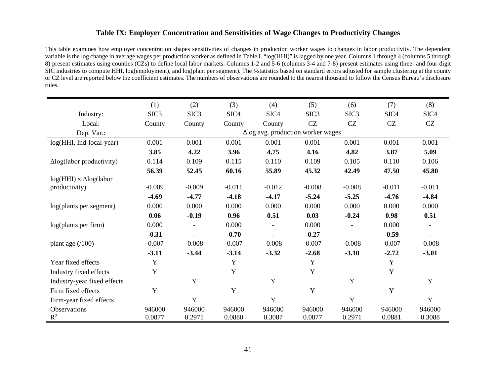## **Table IX: Employer Concentration and Sensitivities of Wage Changes to Productivity Changes**

This table examines how employer concentration shapes sensitivities of changes in production worker wages to changes in labor productivity. The dependent variable is the log change in average wages per production worker as defined in Table I. "log(HHI)" is lagged by one year. Columns 1 through 4 (columns 5 through 8) present estimates using counties (CZs) to define local labor markets. Columns 1-2 and 5-6 (columns 3-4 and 7-8) present estimates using three- and four-digit SIC industries to compute HHI, log(employment), and log(plant per segment). The *t*-statistics based on standard errors adjusted for sample clustering at the county or CZ level are reported below the coefficient estimates. The numbers of observations are rounded to the nearest thousand to follow the Census Bureau's disclosure rules.

|                                     | (1)              | (2)                      | (3)              | (4)              | (5)                               | (6)                      | (7)              | (8)              |
|-------------------------------------|------------------|--------------------------|------------------|------------------|-----------------------------------|--------------------------|------------------|------------------|
| Industry:                           | SIC <sub>3</sub> | SIC <sub>3</sub>         | SIC <sub>4</sub> | SIC <sub>4</sub> | SIC <sub>3</sub>                  | SIC <sub>3</sub>         | SIC <sub>4</sub> | SIC <sub>4</sub> |
| Local:                              | County           | County                   | County           | County           | CZ                                | CZ                       | CZ               | <b>CZ</b>        |
| Dep. Var.:                          |                  |                          |                  |                  | Δlog avg. production worker wages |                          |                  |                  |
| log(HHI, Ind-local-year)            | 0.001            | 0.001                    | 0.001            | 0.001            | 0.001                             | 0.001                    | 0.001            | 0.001            |
|                                     | 3.85             | 4.22                     | 3.96             | 4.75             | 4.16                              | 4.82                     | 3.87             | 5.09             |
| $\Delta$ log(labor productivity)    | 0.114            | 0.109                    | 0.115            | 0.110            | 0.109                             | 0.105                    | 0.110            | 0.106            |
|                                     | 56.39            | 52.45                    | 60.16            | 55.89            | 45.32                             | 42.49                    | 47.50            | 45.80            |
| $log(HHI) \times \Delta log(labor)$ |                  |                          |                  |                  |                                   |                          |                  |                  |
| productivity)                       | $-0.009$         | $-0.009$                 | $-0.011$         | $-0.012$         | $-0.008$                          | $-0.008$                 | $-0.011$         | $-0.011$         |
|                                     | $-4.69$          | $-4.77$                  | $-4.18$          | $-4.17$          | $-5.24$                           | $-5.25$                  | $-4.76$          | $-4.84$          |
| log(plants per segment)             | 0.000            | 0.000                    | 0.000            | 0.000            | 0.000                             | 0.000                    | 0.000            | 0.000            |
|                                     | 0.06             | $-0.19$                  | 0.96             | 0.51             | 0.03                              | $-0.24$                  | 0.98             | 0.51             |
| log(plants per firm)                | 0.000            | $\overline{\phantom{a}}$ | 0.000            |                  | 0.000                             | $\overline{\phantom{a}}$ | 0.000            |                  |
|                                     | $-0.31$          |                          | $-0.70$          |                  | $-0.27$                           |                          | $-0.59$          |                  |
| plant age $(100)$                   | $-0.007$         | $-0.008$                 | $-0.007$         | $-0.008$         | $-0.007$                          | $-0.008$                 | $-0.007$         | $-0.008$         |
|                                     | $-3.11$          | $-3.44$                  | $-3.14$          | $-3.32$          | $-2.68$                           | $-3.10$                  | $-2.72$          | $-3.01$          |
| Year fixed effects                  | Y                |                          | Y                |                  | Y                                 |                          | Y                |                  |
| Industry fixed effects              | Y                |                          | Y                |                  | Y                                 |                          | Y                |                  |
| Industry-year fixed effects         |                  | Y                        |                  | Y                |                                   | Y                        |                  | Y                |
| Firm fixed effects                  | Y                |                          | Y                |                  | Y                                 |                          | Y                |                  |
| Firm-year fixed effects             |                  | Y                        |                  | $\mathbf Y$      |                                   | Y                        |                  | Y                |
| Observations                        | 946000           | 946000                   | 946000           | 946000           | 946000                            | 946000                   | 946000           | 946000           |
| $R^2$                               | 0.0877           | 0.2971                   | 0.0880           | 0.3087           | 0.0877                            | 0.2971                   | 0.0881           | 0.3088           |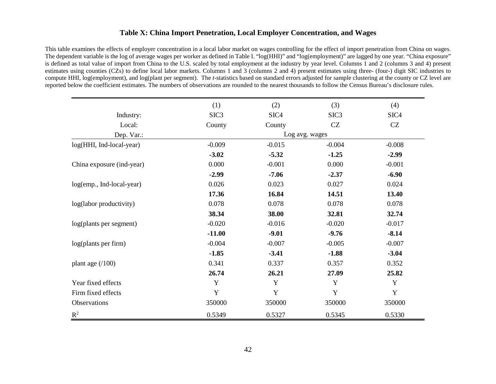## **Table X: China Import Penetration, Local Employer Concentration, and Wages**

This table examines the effects of employer concentration in a local labor market on wages controlling for the effect of import penetration from China on wages. The dependent variable is the log of average wages per worker as defined in Table I. "log(HHI)" and "log(employment)" are lagged by one year. "China exposure" is defined as total value of import from China to the U.S. scaled by total employment at the industry by year level. Columns 1 and 2 (columns 3 and 4) present estimates using counties (CZs) to define local labor markets. Columns 1 and 3 (columns 2 and 4) present estimates using three- (four-) digit SIC industries to compute HHI, log(employment), and log(plant per segment). The *t*-statistics based on standard errors adjusted for sample clustering at the county or CZ level are reported below the coefficient estimates. The numbers of observations are rounded to the nearest thousands to follow the Census Bureau's disclosure rules.

|                             | (1)              | (2)              | (3)              | (4)              |  |  |  |
|-----------------------------|------------------|------------------|------------------|------------------|--|--|--|
| Industry:                   | SIC <sub>3</sub> | SIC <sub>4</sub> | SIC <sub>3</sub> | SIC <sub>4</sub> |  |  |  |
| Local:                      | County           | County           | CZ               | CZ               |  |  |  |
| Dep. Var.:                  | Log avg. wages   |                  |                  |                  |  |  |  |
| log(HHI, Ind-local-year)    | $-0.009$         | $-0.015$         | $-0.004$         | $-0.008$         |  |  |  |
|                             | $-3.02$          | $-5.32$          | $-1.25$          | $-2.99$          |  |  |  |
| China exposure (ind-year)   | 0.000            | $-0.001$         | 0.000            | $-0.001$         |  |  |  |
|                             | $-2.99$          | $-7.06$          | $-2.37$          | $-6.90$          |  |  |  |
| $log(emp., Ind-local-year)$ | 0.026            | 0.023            | 0.027            | 0.024            |  |  |  |
|                             | 17.36            | 16.84            | 14.51            | 13.40            |  |  |  |
| log(labor productivity)     | 0.078            | 0.078            | 0.078            | 0.078            |  |  |  |
|                             | 38.34            | 38.00            | 32.81            | 32.74            |  |  |  |
| log(plants per segment)     | $-0.020$         | $-0.016$         | $-0.020$         | $-0.017$         |  |  |  |
|                             | $-11.00$         | $-9.01$          | $-9.76$          | $-8.14$          |  |  |  |
| log(plants per firm)        | $-0.004$         | $-0.007$         | $-0.005$         | $-0.007$         |  |  |  |
|                             | $-1.85$          | $-3.41$          | $-1.88$          | $-3.04$          |  |  |  |
| plant age $(100)$           | 0.341            | 0.337            | 0.357            | 0.352            |  |  |  |
|                             | 26.74            | 26.21            | 27.09            | 25.82            |  |  |  |
| Year fixed effects          | Y                | Y                | Y                | Y                |  |  |  |
| Firm fixed effects          | Y                | Y                | $\mathbf Y$      | Y                |  |  |  |
| Observations                | 350000           | 350000           | 350000           | 350000           |  |  |  |
| $R^2$                       | 0.5349           | 0.5327           | 0.5345           | 0.5330           |  |  |  |